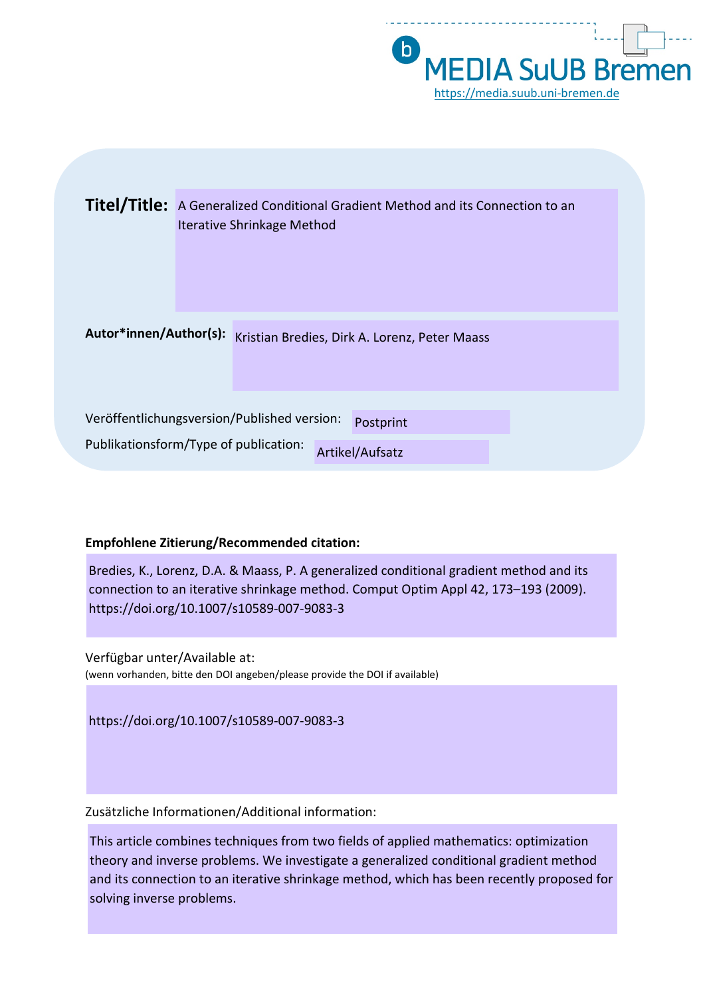

|                        | <b>Titel/Title:</b> A Generalized Conditional Gradient Method and its Connection to an<br><b>Iterative Shrinkage Method</b> |
|------------------------|-----------------------------------------------------------------------------------------------------------------------------|
| Autor*innen/Author(s): | Kristian Bredies, Dirk A. Lorenz, Peter Maass                                                                               |
|                        | Veröffentlichungsversion/Published version:<br>Postprint<br>Publikationsform/Type of publication:<br>Artikel/Aufsatz        |

### **Empfohlene Zitierung/Recommended citation:**

Bredies, K., Lorenz, D.A. & Maass, P. A generalized conditional gradient method and its connection to an iterative shrinkage method. Comput Optim Appl 42, 173–193 (2009). https://doi.org/10.1007/s10589-007-9083-3

Verfügbar unter/Available at: (wenn vorhanden, bitte den DOI angeben/please provide the DOI if available)

https://doi.org/10.1007/s10589-007-9083-3

Zusätzliche Informationen/Additional information:

This article combines techniques from two fields of applied mathematics: optimization theory and inverse problems. We investigate a generalized conditional gradient method and its connection to an iterative shrinkage method, which has been recently proposed for solving inverse problems.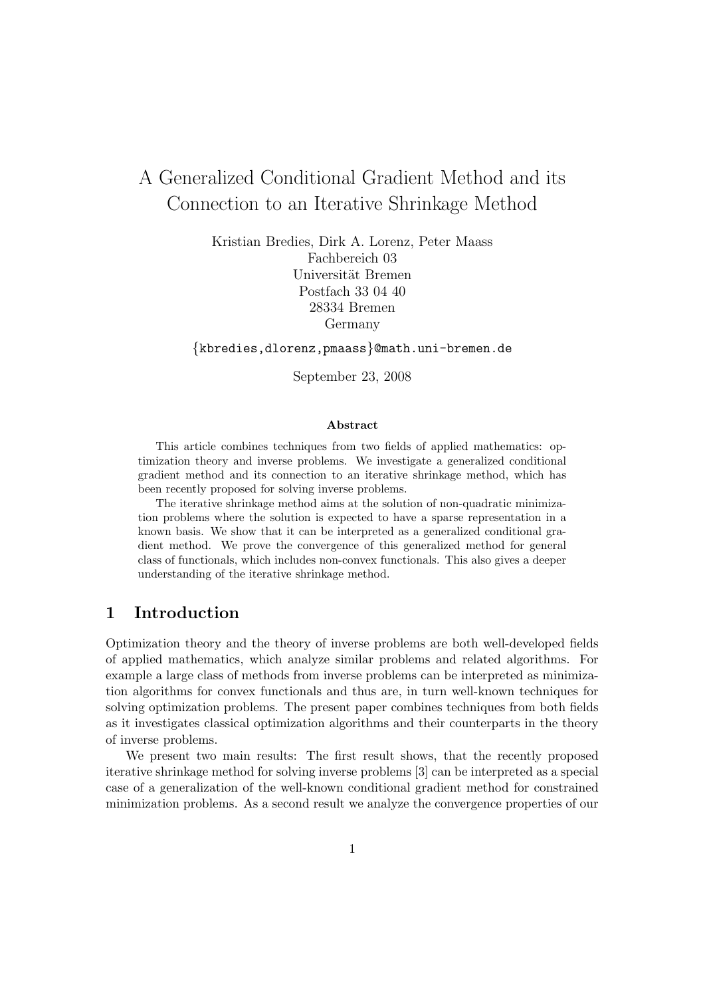# A Generalized Conditional Gradient Method and its Connection to an Iterative Shrinkage Method

Kristian Bredies, Dirk A. Lorenz, Peter Maass Fachbereich 03 Universität Bremen Postfach 33 04 40 28334 Bremen Germany

{kbredies,dlorenz,pmaass}@math.uni-bremen.de

September 23, 2008

#### Abstract

This article combines techniques from two fields of applied mathematics: optimization theory and inverse problems. We investigate a generalized conditional gradient method and its connection to an iterative shrinkage method, which has been recently proposed for solving inverse problems.

The iterative shrinkage method aims at the solution of non-quadratic minimization problems where the solution is expected to have a sparse representation in a known basis. We show that it can be interpreted as a generalized conditional gradient method. We prove the convergence of this generalized method for general class of functionals, which includes non-convex functionals. This also gives a deeper understanding of the iterative shrinkage method.

### 1 Introduction

Optimization theory and the theory of inverse problems are both well-developed fields of applied mathematics, which analyze similar problems and related algorithms. For example a large class of methods from inverse problems can be interpreted as minimization algorithms for convex functionals and thus are, in turn well-known techniques for solving optimization problems. The present paper combines techniques from both fields as it investigates classical optimization algorithms and their counterparts in the theory of inverse problems.

We present two main results: The first result shows, that the recently proposed iterative shrinkage method for solving inverse problems [3] can be interpreted as a special case of a generalization of the well-known conditional gradient method for constrained minimization problems. As a second result we analyze the convergence properties of our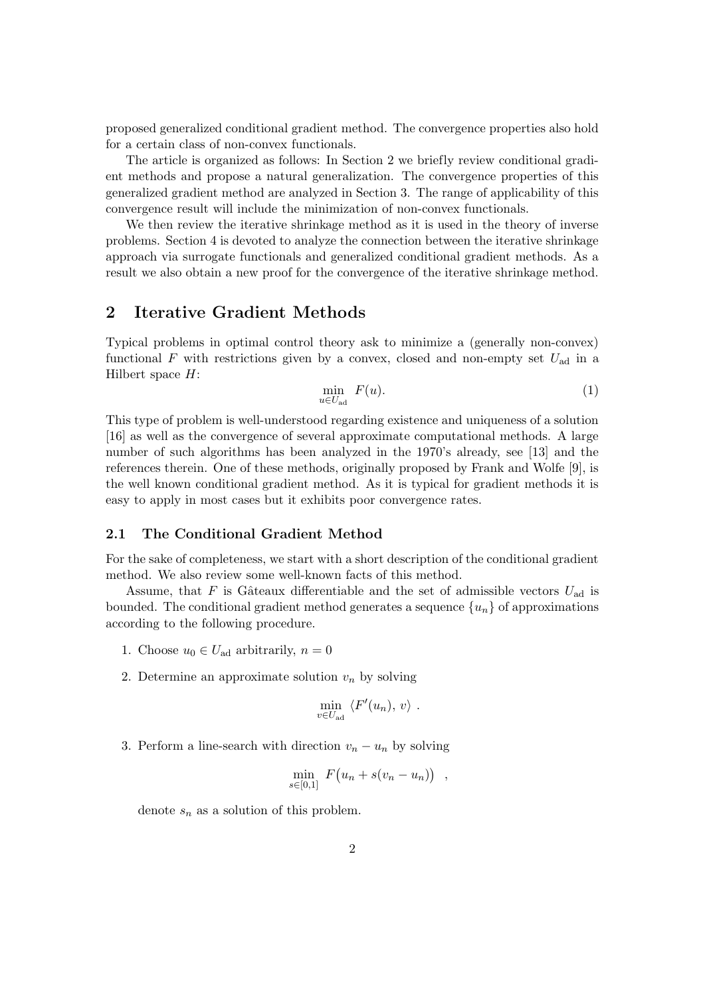proposed generalized conditional gradient method. The convergence properties also hold for a certain class of non-convex functionals.

The article is organized as follows: In Section 2 we briefly review conditional gradient methods and propose a natural generalization. The convergence properties of this generalized gradient method are analyzed in Section 3. The range of applicability of this convergence result will include the minimization of non-convex functionals.

We then review the iterative shrinkage method as it is used in the theory of inverse problems. Section 4 is devoted to analyze the connection between the iterative shrinkage approach via surrogate functionals and generalized conditional gradient methods. As a result we also obtain a new proof for the convergence of the iterative shrinkage method.

# 2 Iterative Gradient Methods

Typical problems in optimal control theory ask to minimize a (generally non-convex) functional  $F$  with restrictions given by a convex, closed and non-empty set  $U_{ad}$  in a Hilbert space  $H$ :

$$
\min_{u \in U_{\text{ad}}} F(u). \tag{1}
$$

This type of problem is well-understood regarding existence and uniqueness of a solution [16] as well as the convergence of several approximate computational methods. A large number of such algorithms has been analyzed in the 1970's already, see [13] and the references therein. One of these methods, originally proposed by Frank and Wolfe [9], is the well known conditional gradient method. As it is typical for gradient methods it is easy to apply in most cases but it exhibits poor convergence rates.

#### 2.1 The Conditional Gradient Method

For the sake of completeness, we start with a short description of the conditional gradient method. We also review some well-known facts of this method.

Assume, that F is Gâteaux differentiable and the set of admissible vectors  $U_{\rm ad}$  is bounded. The conditional gradient method generates a sequence  $\{u_n\}$  of approximations according to the following procedure.

- 1. Choose  $u_0 \in U_{\text{ad}}$  arbitrarily,  $n = 0$
- 2. Determine an approximate solution  $v_n$  by solving

$$
\min_{v \in U_{\text{ad}}} \langle F'(u_n), v \rangle .
$$

3. Perform a line-search with direction  $v_n - u_n$  by solving

$$
\min_{s\in[0,1]} F(u_n+s(v_n-u_n)) ,
$$

denote  $s_n$  as a solution of this problem.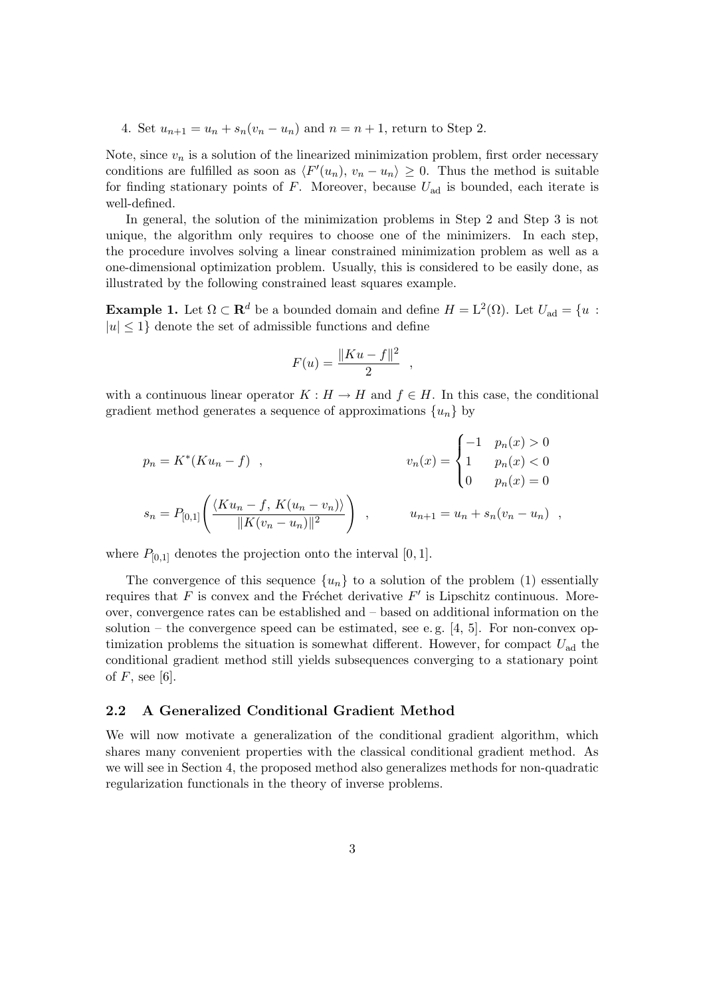4. Set  $u_{n+1} = u_n + s_n(v_n - u_n)$  and  $n = n + 1$ , return to Step 2.

Note, since  $v_n$  is a solution of the linearized minimization problem, first order necessary conditions are fulfilled as soon as  $\langle F'(u_n), v_n - u_n \rangle \geq 0$ . Thus the method is suitable for finding stationary points of  $F$ . Moreover, because  $U_{ad}$  is bounded, each iterate is well-defined.

In general, the solution of the minimization problems in Step 2 and Step 3 is not unique, the algorithm only requires to choose one of the minimizers. In each step, the procedure involves solving a linear constrained minimization problem as well as a one-dimensional optimization problem. Usually, this is considered to be easily done, as illustrated by the following constrained least squares example.

**Example 1.** Let  $\Omega \subset \mathbf{R}^d$  be a bounded domain and define  $H = L^2(\Omega)$ . Let  $U_{ad} = \{u :$  $|u| \leq 1$  denote the set of admissible functions and define

$$
F(u) = \frac{\|Ku - f\|^2}{2} ,
$$

with a continuous linear operator  $K : H \to H$  and  $f \in H$ . In this case, the conditional gradient method generates a sequence of approximations  $\{u_n\}$  by

$$
p_n = K^*(Ku_n - f) , \qquad v_n(x) = \begin{cases} -1 & p_n(x) > 0 \\ 1 & p_n(x) < 0 \\ 0 & p_n(x) = 0 \end{cases}
$$
  

$$
s_n = P_{[0,1]} \left( \frac{\langle Ku_n - f, K(u_n - v_n) \rangle}{\|K(v_n - u_n)\|^{2}} \right) , \qquad u_{n+1} = u_n + s_n(v_n - u_n) ,
$$

where  $P_{[0,1]}$  denotes the projection onto the interval [0, 1].

The convergence of this sequence  $\{u_n\}$  to a solution of the problem (1) essentially requires that F is convex and the Fréchet derivative  $F'$  is Lipschitz continuous. Moreover, convergence rates can be established and – based on additional information on the solution – the convergence speed can be estimated, see e.g.  $[4, 5]$ . For non-convex optimization problems the situation is somewhat different. However, for compact  $U_{ad}$  the conditional gradient method still yields subsequences converging to a stationary point of  $F$ , see [6].

#### 2.2 A Generalized Conditional Gradient Method

We will now motivate a generalization of the conditional gradient algorithm, which shares many convenient properties with the classical conditional gradient method. As we will see in Section 4, the proposed method also generalizes methods for non-quadratic regularization functionals in the theory of inverse problems.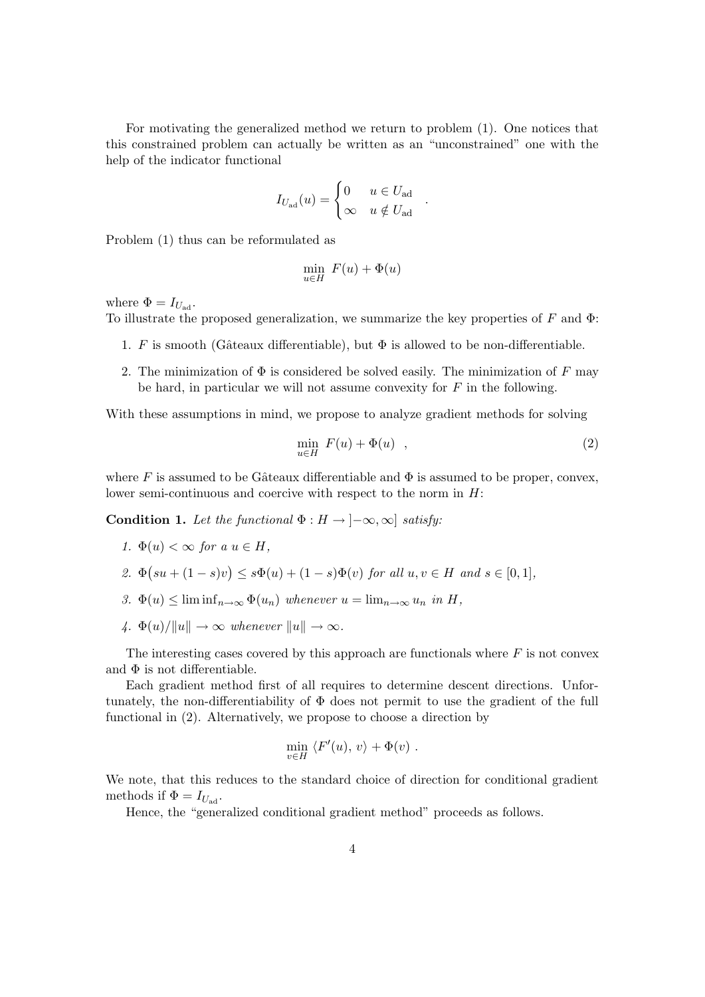For motivating the generalized method we return to problem (1). One notices that this constrained problem can actually be written as an "unconstrained" one with the help of the indicator functional

$$
I_{U_{\text{ad}}}(u) = \begin{cases} 0 & u \in U_{\text{ad}} \\ \infty & u \notin U_{\text{ad}} \end{cases}
$$

Problem (1) thus can be reformulated as

$$
\min_{u \in H} F(u) + \Phi(u)
$$

where  $\Phi = I_{U_{\text{ad}}}$ .

To illustrate the proposed generalization, we summarize the key properties of  $F$  and  $\Phi$ :

- 1. F is smooth (Gâteaux differentiable), but  $\Phi$  is allowed to be non-differentiable.
- 2. The minimization of  $\Phi$  is considered be solved easily. The minimization of F may be hard, in particular we will not assume convexity for  $F$  in the following.

With these assumptions in mind, we propose to analyze gradient methods for solving

$$
\min_{u \in H} F(u) + \Phi(u) \quad , \tag{2}
$$

.

where F is assumed to be Gâteaux differentiable and  $\Phi$  is assumed to be proper, convex, lower semi-continuous and coercive with respect to the norm in H:

Condition 1. Let the functional  $\Phi : H \to [-\infty, \infty]$  satisfy:

- 1.  $\Phi(u) < \infty$  for a  $u \in H$ ,
- 2.  $\Phi(su + (1-s)v) \leq s\Phi(u) + (1-s)\Phi(v)$  for all  $u, v \in H$  and  $s \in [0,1],$
- 3.  $\Phi(u) \leq \liminf_{n \to \infty} \Phi(u_n)$  whenever  $u = \lim_{n \to \infty} u_n$  in H,
- 4.  $\Phi(u)/\|u\| \to \infty$  whenever  $\|u\| \to \infty$ .

The interesting cases covered by this approach are functionals where  $F$  is not convex and  $\Phi$  is not differentiable.

Each gradient method first of all requires to determine descent directions. Unfortunately, the non-differentiability of Φ does not permit to use the gradient of the full functional in (2). Alternatively, we propose to choose a direction by

$$
\min_{v \in H} \langle F'(u), v \rangle + \Phi(v) .
$$

We note, that this reduces to the standard choice of direction for conditional gradient methods if  $\Phi = I_{U_{ad}}$ .

Hence, the "generalized conditional gradient method" proceeds as follows.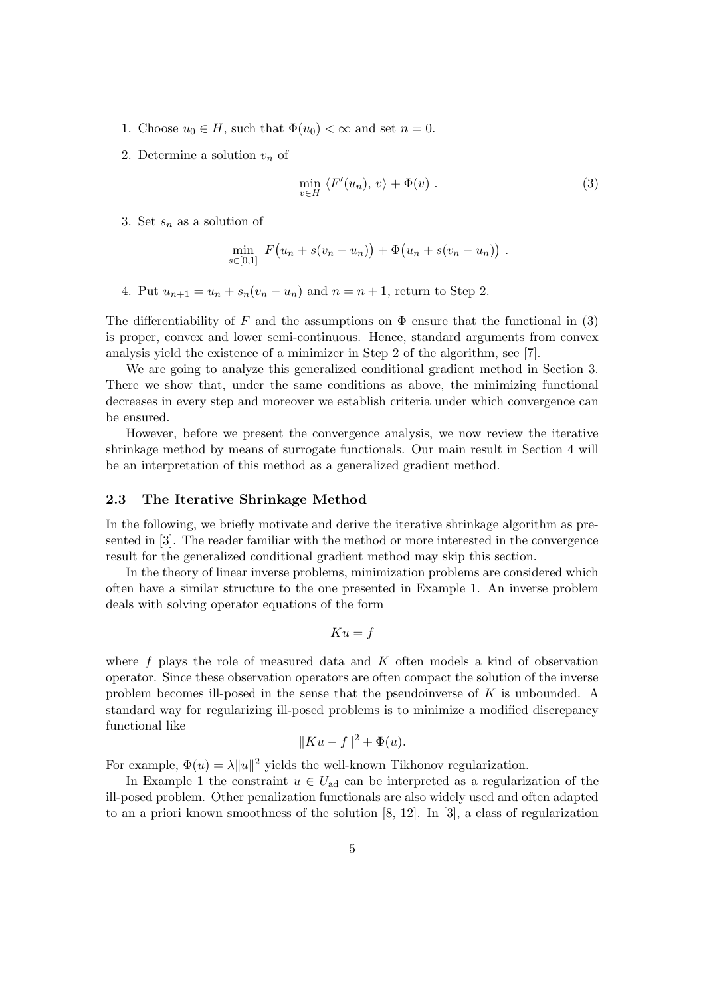- 1. Choose  $u_0 \in H$ , such that  $\Phi(u_0) < \infty$  and set  $n = 0$ .
- 2. Determine a solution  $v_n$  of

$$
\min_{v \in H} \langle F'(u_n), v \rangle + \Phi(v) . \tag{3}
$$

3. Set  $s_n$  as a solution of

$$
\min_{s \in [0,1]} F(u_n + s(v_n - u_n)) + \Phi(u_n + s(v_n - u_n)) .
$$

4. Put  $u_{n+1} = u_n + s_n(v_n - u_n)$  and  $n = n + 1$ , return to Step 2.

The differentiability of F and the assumptions on  $\Phi$  ensure that the functional in (3) is proper, convex and lower semi-continuous. Hence, standard arguments from convex analysis yield the existence of a minimizer in Step 2 of the algorithm, see [7].

We are going to analyze this generalized conditional gradient method in Section 3. There we show that, under the same conditions as above, the minimizing functional decreases in every step and moreover we establish criteria under which convergence can be ensured.

However, before we present the convergence analysis, we now review the iterative shrinkage method by means of surrogate functionals. Our main result in Section 4 will be an interpretation of this method as a generalized gradient method.

#### 2.3 The Iterative Shrinkage Method

In the following, we briefly motivate and derive the iterative shrinkage algorithm as presented in [3]. The reader familiar with the method or more interested in the convergence result for the generalized conditional gradient method may skip this section.

In the theory of linear inverse problems, minimization problems are considered which often have a similar structure to the one presented in Example 1. An inverse problem deals with solving operator equations of the form

$$
Ku = f
$$

where  $f$  plays the role of measured data and  $K$  often models a kind of observation operator. Since these observation operators are often compact the solution of the inverse problem becomes ill-posed in the sense that the pseudoinverse of K is unbounded. A standard way for regularizing ill-posed problems is to minimize a modified discrepancy functional like

$$
||Ku - f||^2 + \Phi(u).
$$

For example,  $\Phi(u) = \lambda ||u||^2$  yields the well-known Tikhonov regularization.

In Example 1 the constraint  $u \in U_{ad}$  can be interpreted as a regularization of the ill-posed problem. Other penalization functionals are also widely used and often adapted to an a priori known smoothness of the solution [8, 12]. In [3], a class of regularization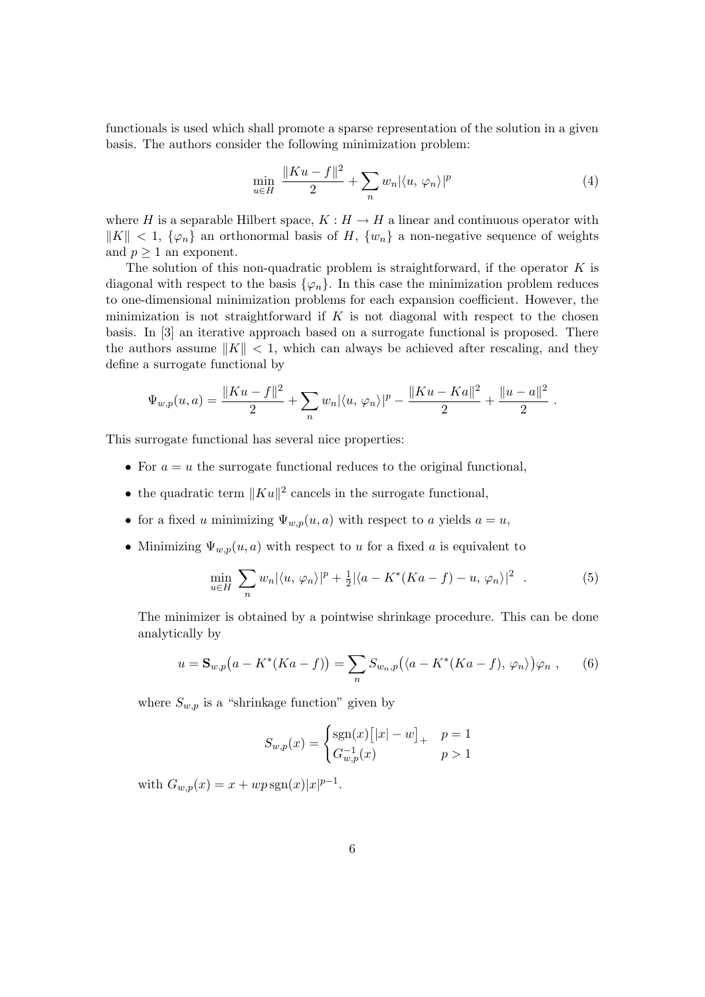functionals is used which shall promote a sparse representation of the solution in a given basis. The authors consider the following minimization problem:

$$
\min_{u \in H} \frac{\|Ku - f\|^2}{2} + \sum_n w_n |\langle u, \varphi_n \rangle|^p \tag{4}
$$

where H is a separable Hilbert space,  $K : H \to H$  a linear and continuous operator with  $\|K\| < 1, \{\varphi_n\}$  an orthonormal basis of H,  $\{w_n\}$  a non-negative sequence of weights and  $p \geq 1$  an exponent.

The solution of this non-quadratic problem is straightforward, if the operator  $K$  is diagonal with respect to the basis  $\{\varphi_n\}$ . In this case the minimization problem reduces to one-dimensional minimization problems for each expansion coefficient. However, the minimization is not straightforward if  $K$  is not diagonal with respect to the chosen basis. In [3] an iterative approach based on a surrogate functional is proposed. There the authors assume  $||K|| < 1$ , which can always be achieved after rescaling, and they define a surrogate functional by

$$
\Psi_{w,p}(u,a) = \frac{\|Ku - f\|^2}{2} + \sum_n w_n |\langle u, \varphi_n \rangle|^p - \frac{\|Ku - Ka\|^2}{2} + \frac{\|u - a\|^2}{2}.
$$

This surrogate functional has several nice properties:

- For  $a = u$  the surrogate functional reduces to the original functional,
- the quadratic term  $||Ku||^2$  cancels in the surrogate functional,
- for a fixed u minimizing  $\Psi_{w,p}(u, a)$  with respect to a yields  $a = u$ ,
- Minimizing  $\Psi_{w,p}(u, a)$  with respect to u for a fixed a is equivalent to

$$
\min_{u \in H} \sum_{n} w_n |\langle u, \varphi_n \rangle|^p + \frac{1}{2} |\langle a - K^*(Ka - f) - u, \varphi_n \rangle|^2 \tag{5}
$$

The minimizer is obtained by a pointwise shrinkage procedure. This can be done analytically by

$$
u = \mathbf{S}_{w,p}\big(a - K^*(Ka - f)\big) = \sum_n S_{w_n,p}\big(\langle a - K^*(Ka - f), \varphi_n \rangle\big)\varphi_n ,\qquad(6)
$$

where  $S_{w,p}$  is a "shrinkage function" given by

$$
S_{w,p}(x) = \begin{cases} \text{sgn}(x) [ |x| - w ]_{+} & p = 1 \\ G_{w,p}^{-1}(x) & p > 1 \end{cases}
$$

with  $G_{w,p}(x) = x + wp \, \text{sgn}(x) |x|^{p-1}$ .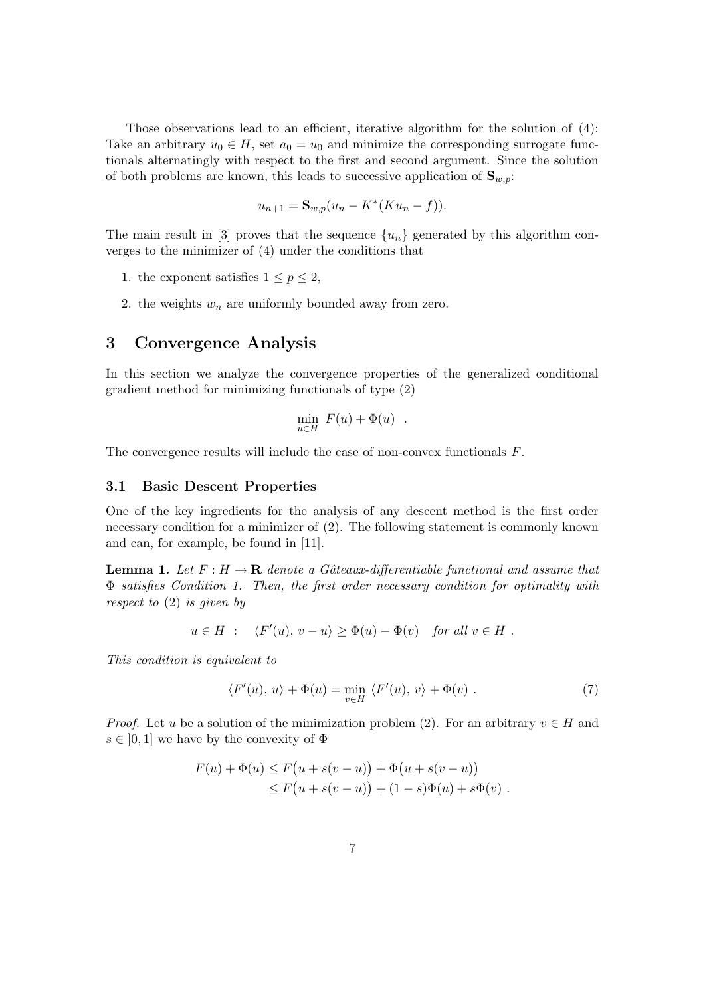Those observations lead to an efficient, iterative algorithm for the solution of  $(4)$ : Take an arbitrary  $u_0 \in H$ , set  $a_0 = u_0$  and minimize the corresponding surrogate functionals alternatingly with respect to the first and second argument. Since the solution of both problems are known, this leads to successive application of  $\mathbf{S}_{w,p}$ :

$$
u_{n+1} = \mathbf{S}_{w,p}(u_n - K^*(Ku_n - f)).
$$

The main result in [3] proves that the sequence  $\{u_n\}$  generated by this algorithm converges to the minimizer of (4) under the conditions that

- 1. the exponent satisfies  $1 \leq p \leq 2$ ,
- 2. the weights  $w_n$  are uniformly bounded away from zero.

# 3 Convergence Analysis

In this section we analyze the convergence properties of the generalized conditional gradient method for minimizing functionals of type (2)

$$
\min_{u \in H} F(u) + \Phi(u) .
$$

The convergence results will include the case of non-convex functionals F.

### 3.1 Basic Descent Properties

One of the key ingredients for the analysis of any descent method is the first order necessary condition for a minimizer of (2). The following statement is commonly known and can, for example, be found in [11].

**Lemma 1.** Let  $F : H \to \mathbf{R}$  denote a Gâteaux-differentiable functional and assume that Φ satisfies Condition 1. Then, the first order necessary condition for optimality with respect to (2) is given by

$$
u \in H
$$
 :  $\langle F'(u), v - u \rangle \ge \Phi(u) - \Phi(v)$  for all  $v \in H$ .

This condition is equivalent to

$$
\langle F'(u), u \rangle + \Phi(u) = \min_{v \in H} \langle F'(u), v \rangle + \Phi(v) . \tag{7}
$$

*Proof.* Let u be a solution of the minimization problem (2). For an arbitrary  $v \in H$  and  $s \in [0, 1]$  we have by the convexity of  $\Phi$ 

$$
F(u) + \Phi(u) \le F(u + s(v - u)) + \Phi(u + s(v - u))
$$
  
 
$$
\le F(u + s(v - u)) + (1 - s)\Phi(u) + s\Phi(v).
$$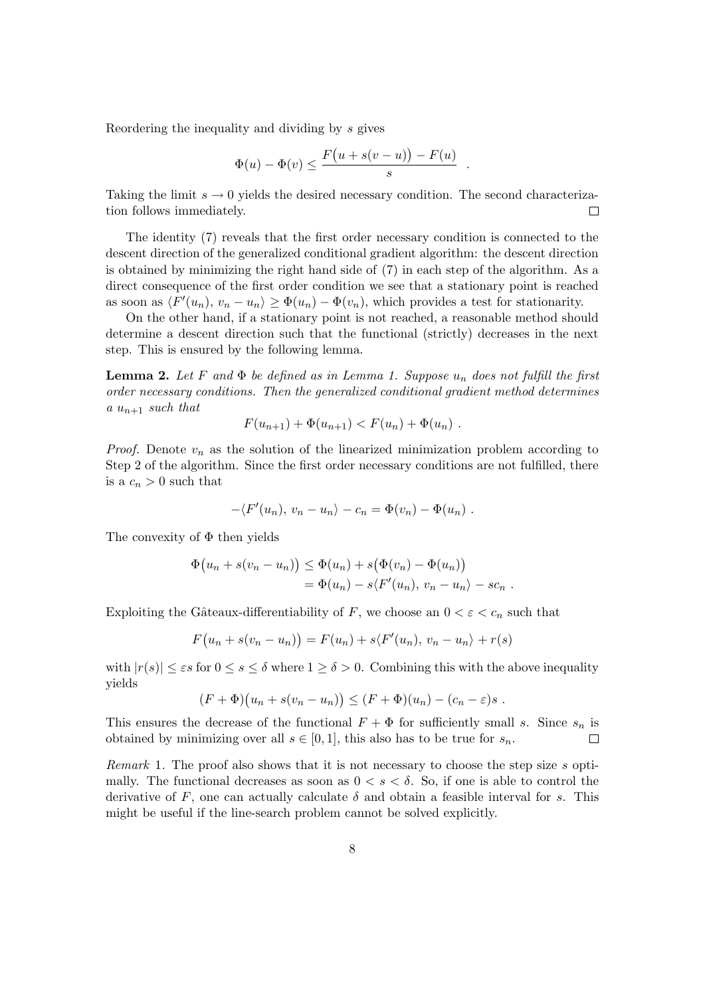Reordering the inequality and dividing by s gives

$$
\Phi(u) - \Phi(v) \le \frac{F(u + s(v - u)) - F(u)}{s}
$$

.

Taking the limit  $s \to 0$  yields the desired necessary condition. The second characterization follows immediately.  $\Box$ 

The identity (7) reveals that the first order necessary condition is connected to the descent direction of the generalized conditional gradient algorithm: the descent direction is obtained by minimizing the right hand side of (7) in each step of the algorithm. As a direct consequence of the first order condition we see that a stationary point is reached as soon as  $\langle F'(u_n), v_n - u_n \rangle \ge \Phi(u_n) - \Phi(v_n)$ , which provides a test for stationarity.

On the other hand, if a stationary point is not reached, a reasonable method should determine a descent direction such that the functional (strictly) decreases in the next step. This is ensured by the following lemma.

**Lemma 2.** Let F and  $\Phi$  be defined as in Lemma 1. Suppose  $u_n$  does not fulfill the first order necessary conditions. Then the generalized conditional gradient method determines a  $u_{n+1}$  such that

$$
F(u_{n+1}) + \Phi(u_{n+1}) < F(u_n) + \Phi(u_n) \, .
$$

*Proof.* Denote  $v_n$  as the solution of the linearized minimization problem according to Step 2 of the algorithm. Since the first order necessary conditions are not fulfilled, there is a  $c_n > 0$  such that

$$
-\langle F'(u_n), v_n - u_n \rangle - c_n = \Phi(v_n) - \Phi(u_n) .
$$

The convexity of  $\Phi$  then yields

$$
\Phi(u_n + s(v_n - u_n)) \leq \Phi(u_n) + s(\Phi(v_n) - \Phi(u_n))
$$
  
=  $\Phi(u_n) - s\langle F'(u_n), v_n - u_n \rangle - s c_n$ .

Exploiting the Gâteaux-differentiability of F, we choose an  $0 < \varepsilon < c_n$  such that

$$
F(u_n + s(v_n - u_n)) = F(u_n) + s\langle F'(u_n), v_n - u_n \rangle + r(s)
$$

with  $|r(s)| \leq \varepsilon s$  for  $0 \leq s \leq \delta$  where  $1 \geq \delta > 0$ . Combining this with the above inequality yields

$$
(F+\Phi)(u_n+s(v_n-u_n))\leq (F+\Phi)(u_n)-(c_n-\varepsilon)s.
$$

This ensures the decrease of the functional  $F + \Phi$  for sufficiently small s. Since  $s_n$  is obtained by minimizing over all  $s \in [0, 1]$ , this also has to be true for  $s_n$ .  $\Box$ 

Remark 1. The proof also shows that it is not necessary to choose the step size s optimally. The functional decreases as soon as  $0 < s < \delta$ . So, if one is able to control the derivative of F, one can actually calculate  $\delta$  and obtain a feasible interval for s. This might be useful if the line-search problem cannot be solved explicitly.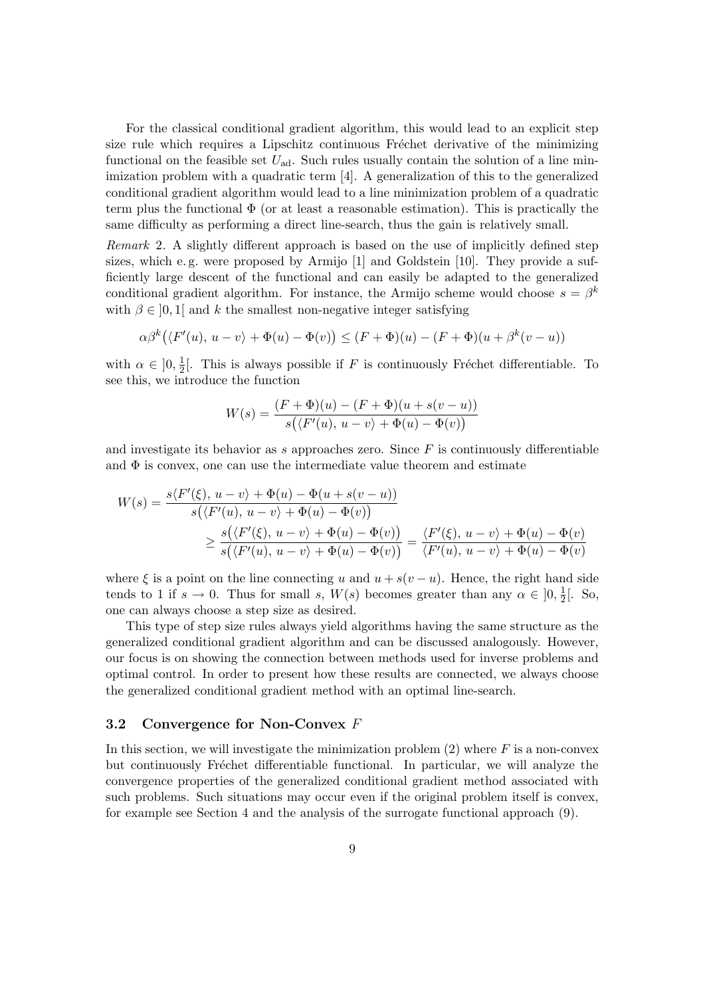For the classical conditional gradient algorithm, this would lead to an explicit step size rule which requires a Lipschitz continuous Fréchet derivative of the minimizing functional on the feasible set  $U_{ad}$ . Such rules usually contain the solution of a line minimization problem with a quadratic term [4]. A generalization of this to the generalized conditional gradient algorithm would lead to a line minimization problem of a quadratic term plus the functional  $\Phi$  (or at least a reasonable estimation). This is practically the same difficulty as performing a direct line-search, thus the gain is relatively small.

Remark 2. A slightly different approach is based on the use of implicitly defined step sizes, which e. g. were proposed by Armijo [1] and Goldstein [10]. They provide a sufficiently large descent of the functional and can easily be adapted to the generalized conditional gradient algorithm. For instance, the Armijo scheme would choose  $s = \beta^k$ with  $\beta \in [0,1]$  and k the smallest non-negative integer satisfying

$$
\alpha \beta^{k} (\langle F'(u), u - v \rangle + \Phi(u) - \Phi(v)) \leq (F + \Phi)(u) - (F + \Phi)(u + \beta^{k}(v - u))
$$

with  $\alpha \in [0, \frac{1}{2}]$  $\frac{1}{2}$ . This is always possible if F is continuously Fréchet differentiable. To see this, we introduce the function

$$
W(s) = \frac{(F + \Phi)(u) - (F + \Phi)(u + s(v - u))}{s(\langle F'(u), u - v \rangle + \Phi(u) - \Phi(v))}
$$

and investigate its behavior as s approaches zero. Since  $F$  is continuously differentiable and  $\Phi$  is convex, one can use the intermediate value theorem and estimate

$$
W(s) = \frac{s\langle F'(\xi), u - v \rangle + \Phi(u) - \Phi(u + s(v - u))}{s(\langle F'(u), u - v \rangle + \Phi(u) - \Phi(v))}
$$
  
 
$$
\geq \frac{s(\langle F'(\xi), u - v \rangle + \Phi(u) - \Phi(v))}{s(\langle F'(u), u - v \rangle + \Phi(u) - \Phi(v))} = \frac{\langle F'(\xi), u - v \rangle + \Phi(u) - \Phi(v)}{\langle F'(u), u - v \rangle + \Phi(u) - \Phi(v)}
$$

where  $\xi$  is a point on the line connecting u and  $u + s(v - u)$ . Hence, the right hand side tends to 1 if  $s \to 0$ . Thus for small s,  $W(s)$  becomes greater than any  $\alpha \in [0, \frac{1}{2}]$  $\frac{1}{2}$ [. So, one can always choose a step size as desired.

This type of step size rules always yield algorithms having the same structure as the generalized conditional gradient algorithm and can be discussed analogously. However, our focus is on showing the connection between methods used for inverse problems and optimal control. In order to present how these results are connected, we always choose the generalized conditional gradient method with an optimal line-search.

#### 3.2 Convergence for Non-Convex F

In this section, we will investigate the minimization problem  $(2)$  where F is a non-convex but continuously Fréchet differentiable functional. In particular, we will analyze the convergence properties of the generalized conditional gradient method associated with such problems. Such situations may occur even if the original problem itself is convex, for example see Section 4 and the analysis of the surrogate functional approach (9).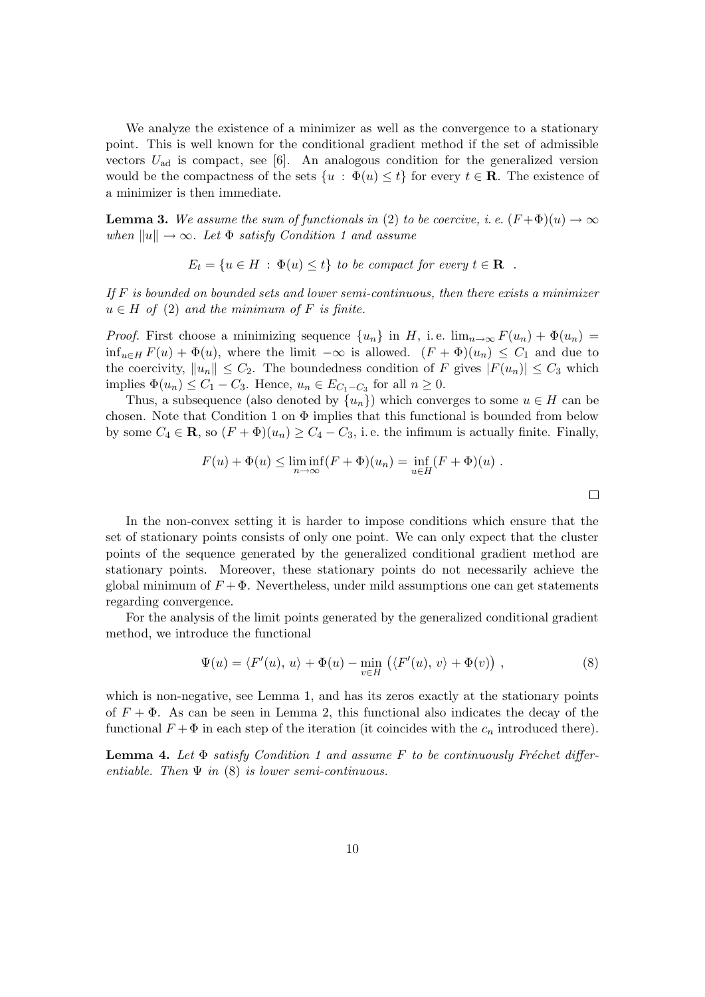We analyze the existence of a minimizer as well as the convergence to a stationary point. This is well known for the conditional gradient method if the set of admissible vectors  $U_{ad}$  is compact, see [6]. An analogous condition for the generalized version would be the compactness of the sets  $\{u : \Phi(u) \leq t\}$  for every  $t \in \mathbb{R}$ . The existence of a minimizer is then immediate.

**Lemma 3.** We assume the sum of functionals in (2) to be coercive, i.e.  $(F + \Phi)(u) \to \infty$ when  $||u|| \rightarrow \infty$ . Let  $\Phi$  satisfy Condition 1 and assume

$$
E_t = \{ u \in H : \Phi(u) \le t \} \text{ to be compact for every } t \in \mathbf{R} \ .
$$

If  $F$  is bounded on bounded sets and lower semi-continuous, then there exists a minimizer  $u \in H$  of (2) and the minimum of F is finite.

*Proof.* First choose a minimizing sequence  $\{u_n\}$  in H, i.e.  $\lim_{n\to\infty} F(u_n) + \Phi(u_n) =$  $\inf_{u\in H} F(u) + \Phi(u)$ , where the limit  $-\infty$  is allowed.  $(F + \Phi)(u_n) \leq C_1$  and due to the coercivity,  $||u_n|| \leq C_2$ . The boundedness condition of F gives  $|F(u_n)| \leq C_3$  which implies  $\Phi(u_n) \leq C_1 - C_3$ . Hence,  $u_n \in E_{C_1 - C_3}$  for all  $n \geq 0$ .

Thus, a subsequence (also denoted by  $\{u_n\}$ ) which converges to some  $u \in H$  can be chosen. Note that Condition 1 on  $\Phi$  implies that this functional is bounded from below by some  $C_4 \in \mathbf{R}$ , so  $(F + \Phi)(u_n) \ge C_4 - C_3$ , i.e. the infimum is actually finite. Finally,

$$
F(u) + \Phi(u) \le \liminf_{n \to \infty} (F + \Phi)(u_n) = \inf_{u \in H} (F + \Phi)(u) .
$$

In the non-convex setting it is harder to impose conditions which ensure that the set of stationary points consists of only one point. We can only expect that the cluster points of the sequence generated by the generalized conditional gradient method are stationary points. Moreover, these stationary points do not necessarily achieve the global minimum of  $F + \Phi$ . Nevertheless, under mild assumptions one can get statements regarding convergence.

For the analysis of the limit points generated by the generalized conditional gradient method, we introduce the functional

$$
\Psi(u) = \langle F'(u), u \rangle + \Phi(u) - \min_{v \in H} \left( \langle F'(u), v \rangle + \Phi(v) \right), \tag{8}
$$

which is non-negative, see Lemma 1, and has its zeros exactly at the stationary points of  $F + \Phi$ . As can be seen in Lemma 2, this functional also indicates the decay of the functional  $F + \Phi$  in each step of the iteration (it coincides with the  $c_n$  introduced there).

**Lemma 4.** Let  $\Phi$  satisfy Condition 1 and assume F to be continuously Fréchet differentiable. Then  $\Psi$  in (8) is lower semi-continuous.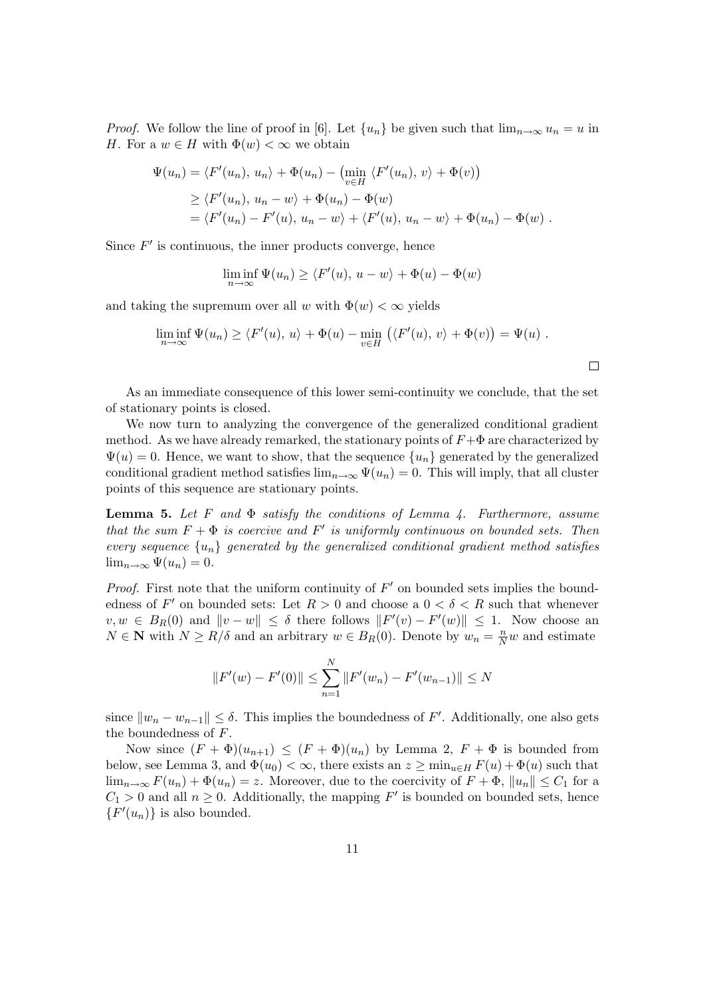*Proof.* We follow the line of proof in [6]. Let  $\{u_n\}$  be given such that  $\lim_{n\to\infty}u_n=u$  in H. For a  $w \in H$  with  $\Phi(w) < \infty$  we obtain

$$
\Psi(u_n) = \langle F'(u_n), u_n \rangle + \Phi(u_n) - \left(\min_{v \in H} \langle F'(u_n), v \rangle + \Phi(v)\right)
$$
  
\n
$$
\geq \langle F'(u_n), u_n - w \rangle + \Phi(u_n) - \Phi(w)
$$
  
\n
$$
= \langle F'(u_n) - F'(u), u_n - w \rangle + \langle F'(u), u_n - w \rangle + \Phi(u_n) - \Phi(w) .
$$

Since  $F'$  is continuous, the inner products converge, hence

$$
\liminf_{n \to \infty} \Psi(u_n) \ge \langle F'(u), u - w \rangle + \Phi(u) - \Phi(w)
$$

and taking the supremum over all w with  $\Phi(w) < \infty$  yields

$$
\liminf_{n \to \infty} \Psi(u_n) \ge \langle F'(u), u \rangle + \Phi(u) - \min_{v \in H} \left( \langle F'(u), v \rangle + \Phi(v) \right) = \Psi(u) .
$$

As an immediate consequence of this lower semi-continuity we conclude, that the set of stationary points is closed.

We now turn to analyzing the convergence of the generalized conditional gradient method. As we have already remarked, the stationary points of  $F+\Phi$  are characterized by  $\Psi(u) = 0$ . Hence, we want to show, that the sequence  $\{u_n\}$  generated by the generalized conditional gradient method satisfies  $\lim_{n\to\infty} \Psi(u_n) = 0$ . This will imply, that all cluster points of this sequence are stationary points.

**Lemma 5.** Let F and  $\Phi$  satisfy the conditions of Lemma 4. Furthermore, assume that the sum  $F + \Phi$  is coercive and F' is uniformly continuous on bounded sets. Then every sequence  $\{u_n\}$  generated by the generalized conditional gradient method satisfies  $\lim_{n\to\infty} \Psi(u_n) = 0.$ 

*Proof.* First note that the uniform continuity of  $F'$  on bounded sets implies the boundedness of F' on bounded sets: Let  $R > 0$  and choose a  $0 < \delta < R$  such that whenever  $v, w \in B_R(0)$  and  $\|v - w\| \leq \delta$  there follows  $\|F'(v) - F'(w)\| \leq 1$ . Now choose an  $N \in \mathbb{N}$  with  $N \ge R/\delta$  and an arbitrary  $w \in B_R(0)$ . Denote by  $w_n = \frac{n}{N}w$  and estimate

$$
||F'(w) - F'(0)|| \le \sum_{n=1}^{N} ||F'(w_n) - F'(w_{n-1})|| \le N
$$

since  $||w_n - w_{n-1}|| \leq \delta$ . This implies the boundedness of F'. Additionally, one also gets the boundedness of F.

Now since  $(F + \Phi)(u_{n+1}) \leq (F + \Phi)(u_n)$  by Lemma 2,  $F + \Phi$  is bounded from below, see Lemma 3, and  $\Phi(u_0) < \infty$ , there exists an  $z \ge \min_{u \in H} F(u) + \Phi(u)$  such that  $\lim_{n\to\infty} F(u_n) + \Phi(u_n) = z$ . Moreover, due to the coercivity of  $F + \Phi$ ,  $||u_n|| \leq C_1$  for a  $C_1 > 0$  and all  $n \geq 0$ . Additionally, the mapping F' is bounded on bounded sets, hence  $\{F'(u_n)\}\$ is also bounded.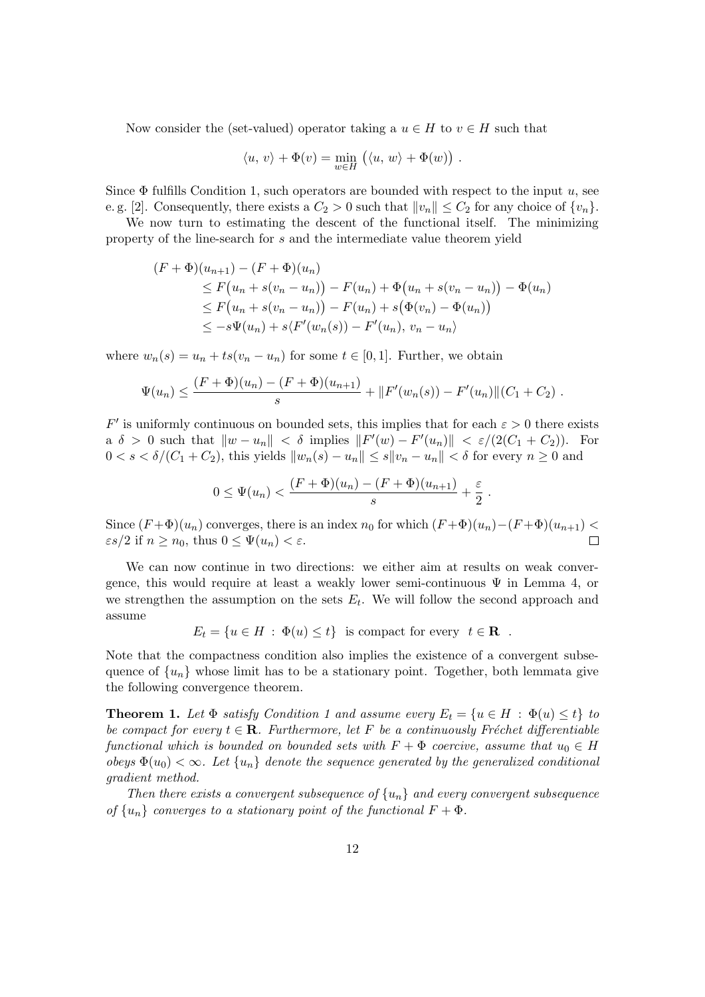Now consider the (set-valued) operator taking a  $u \in H$  to  $v \in H$  such that

$$
\langle u, v \rangle + \Phi(v) = \min_{w \in H} (\langle u, w \rangle + \Phi(w)).
$$

Since  $\Phi$  fulfills Condition 1, such operators are bounded with respect to the input u, see e. g. [2]. Consequently, there exists a  $C_2 > 0$  such that  $||v_n|| \leq C_2$  for any choice of  $\{v_n\}$ .

We now turn to estimating the descent of the functional itself. The minimizing property of the line-search for s and the intermediate value theorem yield

$$
(F + \Phi)(u_{n+1}) - (F + \Phi)(u_n)
$$
  
\n
$$
\leq F(u_n + s(v_n - u_n)) - F(u_n) + \Phi(u_n + s(v_n - u_n)) - \Phi(u_n)
$$
  
\n
$$
\leq F(u_n + s(v_n - u_n)) - F(u_n) + s(\Phi(v_n) - \Phi(u_n))
$$
  
\n
$$
\leq -s\Psi(u_n) + s\langle F'(w_n(s)) - F'(u_n), v_n - u_n \rangle
$$

where  $w_n(s) = u_n + ts(v_n - u_n)$  for some  $t \in [0, 1]$ . Further, we obtain

$$
\Psi(u_n) \leq \frac{(F+\Phi)(u_n) - (F+\Phi)(u_{n+1})}{s} + ||F'(w_n(s)) - F'(u_n)||(C_1 + C_2).
$$

 $F'$  is uniformly continuous on bounded sets, this implies that for each  $\varepsilon > 0$  there exists a  $\delta > 0$  such that  $\|w - u_n\| < \delta$  implies  $\|F'(w) - F'(u_n)\| < \varepsilon/(2(C_1 + C_2)).$  For  $0 < s < \delta/(C_1 + C_2)$ , this yields  $||w_n(s) - u_n|| \le s||w_n - u_n|| < \delta$  for every  $n \ge 0$  and

$$
0 \leq \Psi(u_n) < \frac{(F+\Phi)(u_n) - (F+\Phi)(u_{n+1})}{s} + \frac{\varepsilon}{2}
$$

.

Since  $(F + \Phi)(u_n)$  converges, there is an index  $n_0$  for which  $(F + \Phi)(u_n) - (F + \Phi)(u_{n+1})$  $\epsilon s/2$  if  $n \geq n_0$ , thus  $0 \leq \Psi(u_n) < \epsilon$ .

We can now continue in two directions: we either aim at results on weak convergence, this would require at least a weakly lower semi-continuous  $\Psi$  in Lemma 4, or we strengthen the assumption on the sets  $E_t$ . We will follow the second approach and assume

$$
E_t = \{ u \in H : \Phi(u) \le t \} \text{ is compact for every } t \in \mathbf{R} .
$$

Note that the compactness condition also implies the existence of a convergent subsequence of  $\{u_n\}$  whose limit has to be a stationary point. Together, both lemmata give the following convergence theorem.

**Theorem 1.** Let  $\Phi$  satisfy Condition 1 and assume every  $E_t = \{u \in H : \Phi(u) \le t\}$  to be compact for every  $t \in \mathbf{R}$ . Furthermore, let F be a continuously Fréchet differentiable functional which is bounded on bounded sets with  $F + \Phi$  coercive, assume that  $u_0 \in H$ obeys  $\Phi(u_0) < \infty$ . Let  $\{u_n\}$  denote the sequence generated by the generalized conditional gradient method.

Then there exists a convergent subsequence of  $\{u_n\}$  and every convergent subsequence of  $\{u_n\}$  converges to a stationary point of the functional  $F + \Phi$ .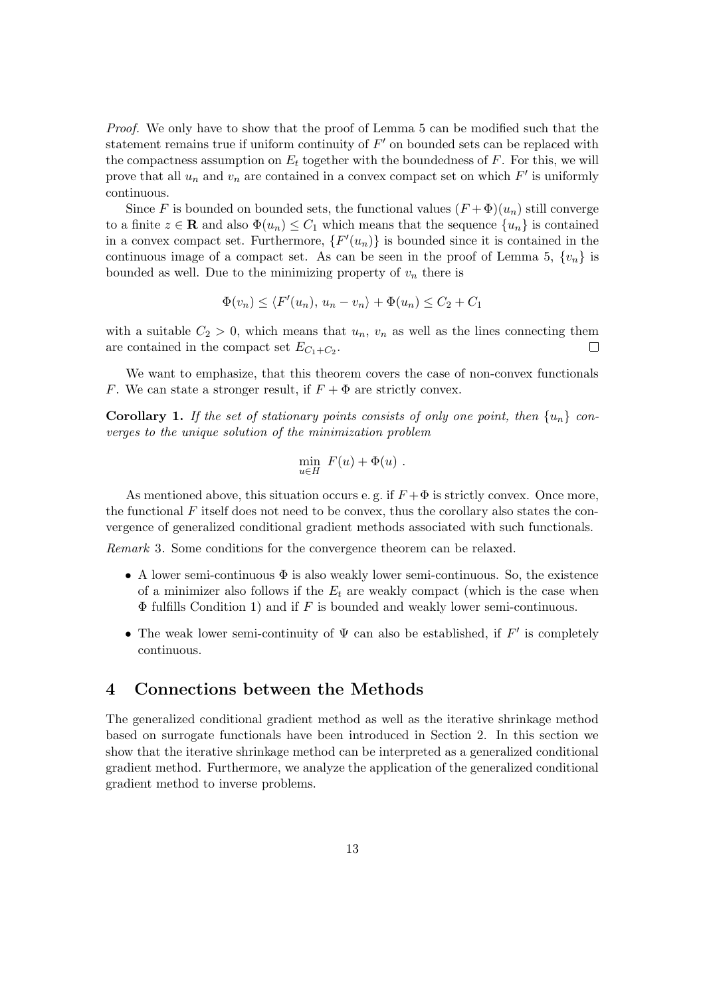Proof. We only have to show that the proof of Lemma 5 can be modified such that the statement remains true if uniform continuity of  $F'$  on bounded sets can be replaced with the compactness assumption on  $E_t$  together with the boundedness of  $F$ . For this, we will prove that all  $u_n$  and  $v_n$  are contained in a convex compact set on which  $F'$  is uniformly continuous.

Since F is bounded on bounded sets, the functional values  $(F + \Phi)(u_n)$  still converge to a finite  $z \in \mathbf{R}$  and also  $\Phi(u_n) \leq C_1$  which means that the sequence  $\{u_n\}$  is contained in a convex compact set. Furthermore,  $\{F'(u_n)\}\$ is bounded since it is contained in the continuous image of a compact set. As can be seen in the proof of Lemma 5,  $\{v_n\}$  is bounded as well. Due to the minimizing property of  $v_n$  there is

$$
\Phi(v_n) \le \langle F'(u_n), u_n - v_n \rangle + \Phi(u_n) \le C_2 + C_1
$$

with a suitable  $C_2 > 0$ , which means that  $u_n$ ,  $v_n$  as well as the lines connecting them are contained in the compact set  $E_{C_1+C_2}$ .  $\Box$ 

We want to emphasize, that this theorem covers the case of non-convex functionals F. We can state a stronger result, if  $F + \Phi$  are strictly convex.

**Corollary 1.** If the set of stationary points consists of only one point, then  $\{u_n\}$  converges to the unique solution of the minimization problem

$$
\min_{u \in H} F(u) + \Phi(u) .
$$

As mentioned above, this situation occurs e.g. if  $F + \Phi$  is strictly convex. Once more, the functional  $F$  itself does not need to be convex, thus the corollary also states the convergence of generalized conditional gradient methods associated with such functionals.

Remark 3. Some conditions for the convergence theorem can be relaxed.

- A lower semi-continuous  $\Phi$  is also weakly lower semi-continuous. So, the existence of a minimizer also follows if the  $E_t$  are weakly compact (which is the case when  $\Phi$  fulfills Condition 1) and if  $F$  is bounded and weakly lower semi-continuous.
- The weak lower semi-continuity of  $\Psi$  can also be established, if  $F'$  is completely continuous.

### 4 Connections between the Methods

The generalized conditional gradient method as well as the iterative shrinkage method based on surrogate functionals have been introduced in Section 2. In this section we show that the iterative shrinkage method can be interpreted as a generalized conditional gradient method. Furthermore, we analyze the application of the generalized conditional gradient method to inverse problems.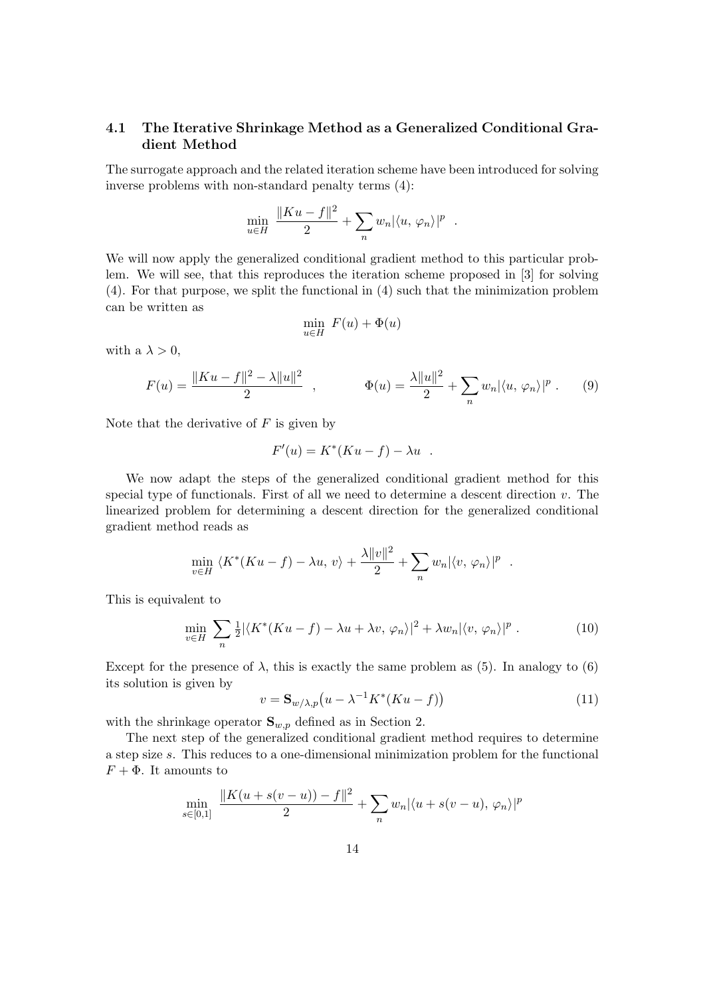### 4.1 The Iterative Shrinkage Method as a Generalized Conditional Gradient Method

The surrogate approach and the related iteration scheme have been introduced for solving inverse problems with non-standard penalty terms (4):

$$
\min_{u \in H} \frac{\|Ku - f\|^2}{2} + \sum_n w_n |\langle u, \varphi_n \rangle|^p.
$$

We will now apply the generalized conditional gradient method to this particular problem. We will see, that this reproduces the iteration scheme proposed in [3] for solving (4). For that purpose, we split the functional in (4) such that the minimization problem can be written as

$$
\min_{u \in H} F(u) + \Phi(u)
$$

with a  $\lambda > 0$ ,

$$
F(u) = \frac{\|Ku - f\|^2 - \lambda \|u\|^2}{2} , \qquad \Phi(u) = \frac{\lambda \|u\|^2}{2} + \sum_n w_n |\langle u, \varphi_n \rangle|^p . \tag{9}
$$

Note that the derivative of  $F$  is given by

$$
F'(u) = K^*(Ku - f) - \lambda u .
$$

We now adapt the steps of the generalized conditional gradient method for this special type of functionals. First of all we need to determine a descent direction  $v$ . The linearized problem for determining a descent direction for the generalized conditional gradient method reads as

$$
\min_{v \in H} \langle K^*(Ku - f) - \lambda u, v \rangle + \frac{\lambda ||v||^2}{2} + \sum_n w_n |\langle v, \varphi_n \rangle|^p
$$

This is equivalent to

$$
\min_{v \in H} \sum_{n} \frac{1}{2} |\langle K^*(Ku - f) - \lambda u + \lambda v, \varphi_n \rangle|^2 + \lambda w_n |\langle v, \varphi_n \rangle|^p. \tag{10}
$$

Except for the presence of  $\lambda$ , this is exactly the same problem as (5). In analogy to (6) its solution is given by

$$
v = \mathbf{S}_{w/\lambda, p}(u - \lambda^{-1}K^*(Ku - f))
$$
\n(11)

.

with the shrinkage operator  $S_{w,p}$  defined as in Section 2.

The next step of the generalized conditional gradient method requires to determine a step size s. This reduces to a one-dimensional minimization problem for the functional  $F + \Phi$ . It amounts to

$$
\min_{s \in [0,1]} \frac{\|K(u + s(v - u)) - f\|^2}{2} + \sum_{n} w_n |\langle u + s(v - u), \varphi_n \rangle|^p
$$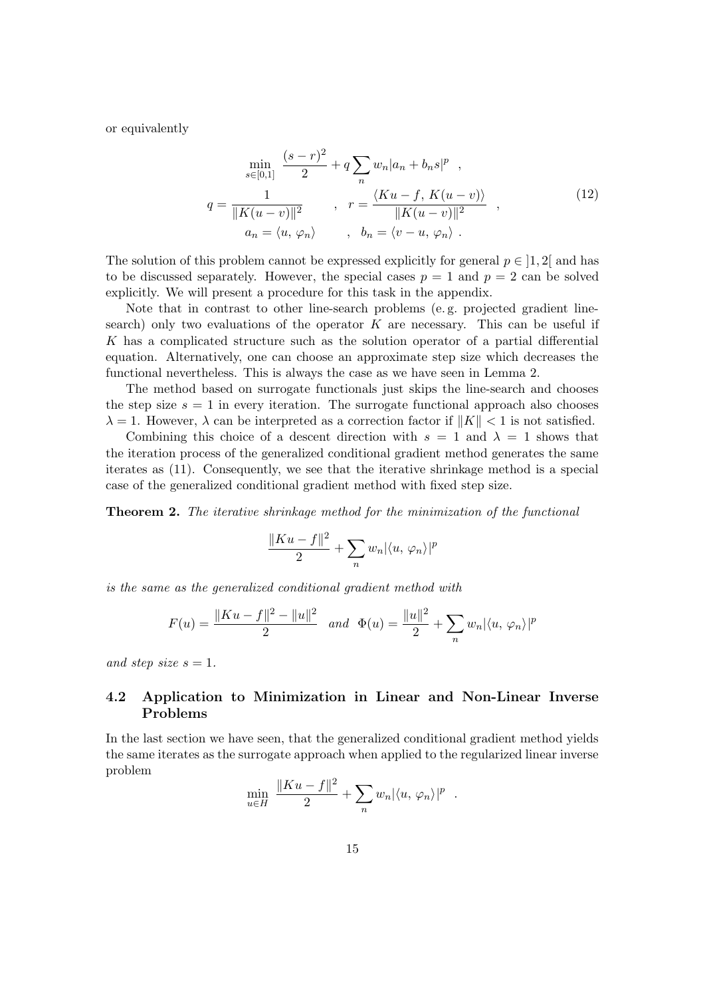or equivalently

$$
\min_{s \in [0,1]} \frac{(s-r)^2}{2} + q \sum_{n} w_n |a_n + b_n s|^p ,
$$
\n
$$
q = \frac{1}{\|K(u-v)\|^2} , \quad r = \frac{\langle Ku - f, K(u-v) \rangle}{\|K(u-v)\|^2} ,
$$
\n
$$
a_n = \langle u, \varphi_n \rangle , \quad b_n = \langle v - u, \varphi_n \rangle .
$$
\n(12)

The solution of this problem cannot be expressed explicitly for general  $p \in [1, 2]$  and has to be discussed separately. However, the special cases  $p = 1$  and  $p = 2$  can be solved explicitly. We will present a procedure for this task in the appendix.

Note that in contrast to other line-search problems (e. g. projected gradient linesearch) only two evaluations of the operator  $K$  are necessary. This can be useful if K has a complicated structure such as the solution operator of a partial differential equation. Alternatively, one can choose an approximate step size which decreases the functional nevertheless. This is always the case as we have seen in Lemma 2.

The method based on surrogate functionals just skips the line-search and chooses the step size  $s = 1$  in every iteration. The surrogate functional approach also chooses  $\lambda = 1$ . However,  $\lambda$  can be interpreted as a correction factor if  $||K|| < 1$  is not satisfied.

Combining this choice of a descent direction with  $s = 1$  and  $\lambda = 1$  shows that the iteration process of the generalized conditional gradient method generates the same iterates as (11). Consequently, we see that the iterative shrinkage method is a special case of the generalized conditional gradient method with fixed step size.

**Theorem 2.** The iterative shrinkage method for the minimization of the functional

$$
\frac{\|Ku-f\|^2}{2} + \sum_n w_n |\langle u, \varphi_n \rangle|^p
$$

is the same as the generalized conditional gradient method with

$$
F(u) = \frac{\|Ku - f\|^2 - \|u\|^2}{2} \quad and \quad \Phi(u) = \frac{\|u\|^2}{2} + \sum_n w_n |\langle u, \varphi_n \rangle|^p
$$

and step size  $s = 1$ .

### 4.2 Application to Minimization in Linear and Non-Linear Inverse Problems

In the last section we have seen, that the generalized conditional gradient method yields the same iterates as the surrogate approach when applied to the regularized linear inverse problem

$$
\min_{u \in H} \frac{\|Ku - f\|^2}{2} + \sum_n w_n |\langle u, \varphi_n \rangle|^p.
$$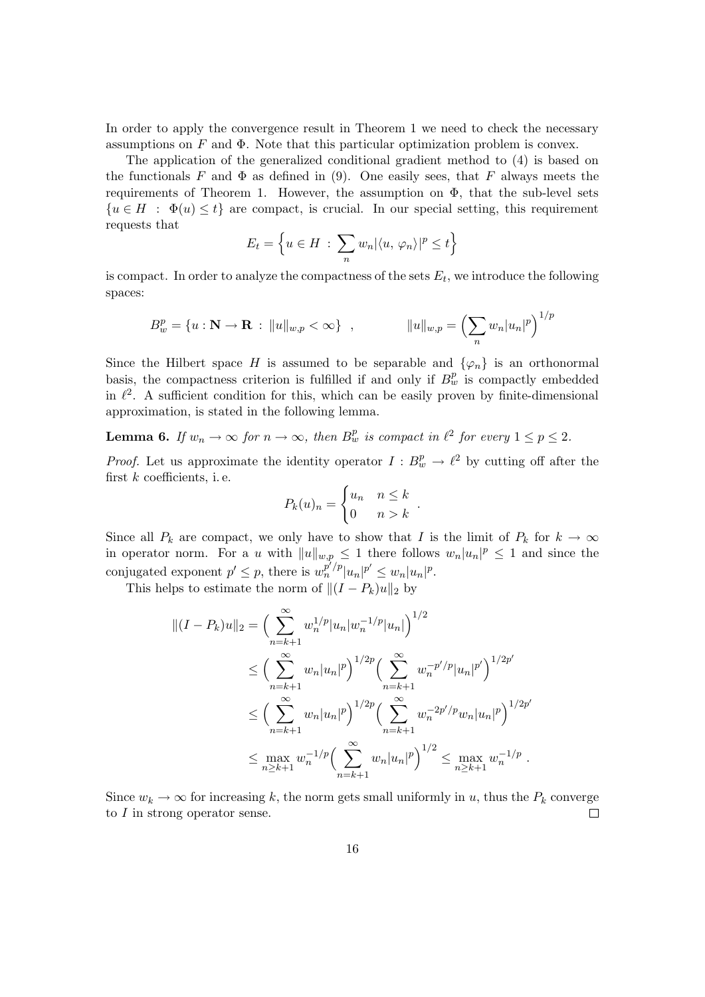In order to apply the convergence result in Theorem 1 we need to check the necessary assumptions on  $F$  and  $\Phi$ . Note that this particular optimization problem is convex.

The application of the generalized conditional gradient method to (4) is based on the functionals F and  $\Phi$  as defined in (9). One easily sees, that F always meets the requirements of Theorem 1. However, the assumption on  $\Phi$ , that the sub-level sets  ${u \in H : \Phi(u) \le t}$  are compact, is crucial. In our special setting, this requirement requests that

$$
E_t = \left\{ u \in H \, : \, \sum_n w_n |\langle u, \, \varphi_n \rangle|^p \le t \right\}
$$

is compact. In order to analyze the compactness of the sets  $E_t$ , we introduce the following spaces:

$$
B_w^p = \{ u : \mathbf{N} \to \mathbf{R} : ||u||_{w,p} < \infty \}, \qquad ||u||_{w,p} = \left( \sum_n w_n |u_n|^p \right)^{1/p}
$$

Since the Hilbert space H is assumed to be separable and  $\{\varphi_n\}$  is an orthonormal basis, the compactness criterion is fulfilled if and only if  $B_w^p$  is compactly embedded in  $\ell^2$ . A sufficient condition for this, which can be easily proven by finite-dimensional approximation, is stated in the following lemma.

**Lemma 6.** If  $w_n \to \infty$  for  $n \to \infty$ , then  $B^p_w$  is compact in  $\ell^2$  for every  $1 \le p \le 2$ .

*Proof.* Let us approximate the identity operator  $I : B_w^p \to \ell^2$  by cutting off after the first  $k$  coefficients, i.e.

$$
P_k(u)_n = \begin{cases} u_n & n \leq k \\ 0 & n > k \end{cases}.
$$

Since all  $P_k$  are compact, we only have to show that I is the limit of  $P_k$  for  $k \to \infty$ in operator norm. For a u with  $||u||_{w,p} \leq 1$  there follows  $w_n|u_n|^p \leq 1$  and since the conjugated exponent  $p' \leq p$ , there is  $w_n^{p'/p} |u_n|^{p'} \leq w_n |u_n|^p$ .

This helps to estimate the norm of  $||(I - P_k)u||_2$  by

$$
||(I - P_k)u||_2 = \left(\sum_{n=k+1}^{\infty} w_n^{1/p} |u_n| w_n^{-1/p} |u_n|\right)^{1/2}
$$
  
\n
$$
\leq \left(\sum_{n=k+1}^{\infty} w_n |u_n|^p\right)^{1/2p} \left(\sum_{n=k+1}^{\infty} w_n^{-p'/p} |u_n|^{p'}\right)^{1/2p'}
$$
  
\n
$$
\leq \left(\sum_{n=k+1}^{\infty} w_n |u_n|^p\right)^{1/2p} \left(\sum_{n=k+1}^{\infty} w_n^{-2p'/p} w_n |u_n|^p\right)^{1/2p'}
$$
  
\n
$$
\leq \max_{n\geq k+1} w_n^{-1/p} \left(\sum_{n=k+1}^{\infty} w_n |u_n|^p\right)^{1/2} \leq \max_{n\geq k+1} w_n^{-1/p}.
$$

Since  $w_k \to \infty$  for increasing k, the norm gets small uniformly in u, thus the  $P_k$  converge to I in strong operator sense.  $\Box$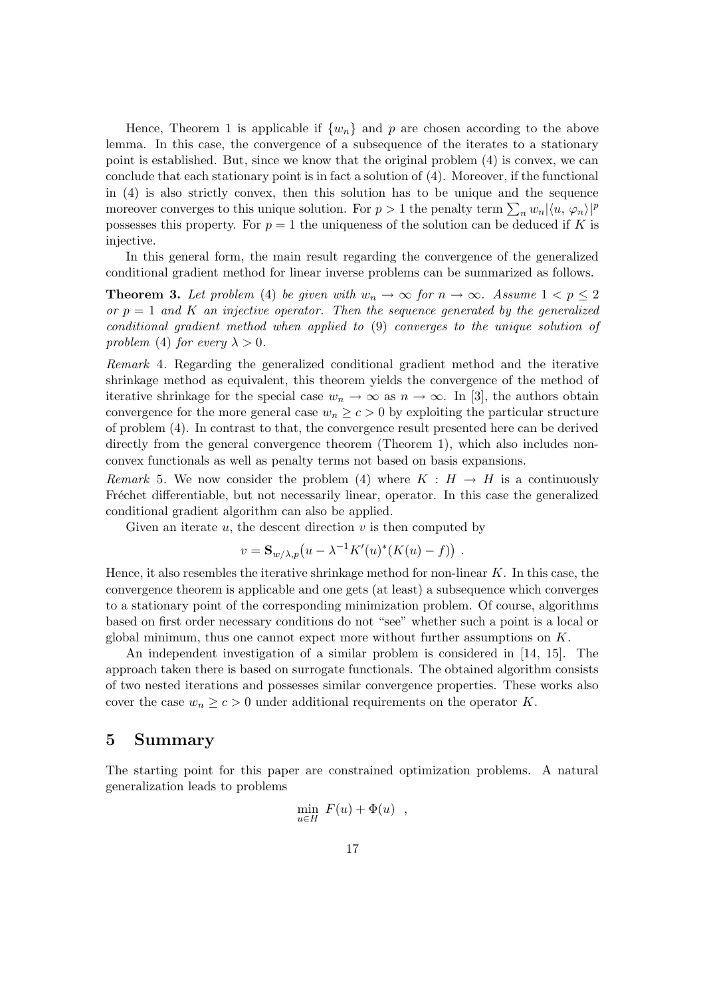Hence, Theorem 1 is applicable if  $\{w_n\}$  and p are chosen according to the above lemma. In this case, the convergence of a subsequence of the iterates to a stationary point is established. But, since we know that the original problem (4) is convex, we can conclude that each stationary point is in fact a solution of (4). Moreover, if the functional in (4) is also strictly convex, then this solution has to be unique and the sequence moreover converges to this unique solution. For  $p > 1$  the penalty term  $\sum_n w_n |\langle u, \varphi_n \rangle|^p$ possesses this property. For  $p = 1$  the uniqueness of the solution can be deduced if K is injective.

In this general form, the main result regarding the convergence of the generalized conditional gradient method for linear inverse problems can be summarized as follows.

**Theorem 3.** Let problem (4) be given with  $w_n \to \infty$  for  $n \to \infty$ . Assume  $1 < p \leq 2$ or  $p = 1$  and K an injective operator. Then the sequence generated by the generalized conditional gradient method when applied to (9) converges to the unique solution of problem (4) for every  $\lambda > 0$ .

Remark 4. Regarding the generalized conditional gradient method and the iterative shrinkage method as equivalent, this theorem yields the convergence of the method of iterative shrinkage for the special case  $w_n \to \infty$  as  $n \to \infty$ . In [3], the authors obtain convergence for the more general case  $w_n \geq c > 0$  by exploiting the particular structure of problem (4). In contrast to that, the convergence result presented here can be derived directly from the general convergence theorem (Theorem 1), which also includes nonconvex functionals as well as penalty terms not based on basis expansions.

Remark 5. We now consider the problem (4) where  $K : H \to H$  is a continuously Fréchet differentiable, but not necessarily linear, operator. In this case the generalized conditional gradient algorithm can also be applied.

Given an iterate  $u$ , the descent direction  $v$  is then computed by

$$
v = \mathbf{S}_{w/\lambda, p}(u - \lambda^{-1}K'(u)^*(K(u) - f)).
$$

Hence, it also resembles the iterative shrinkage method for non-linear  $K$ . In this case, the convergence theorem is applicable and one gets (at least) a subsequence which converges to a stationary point of the corresponding minimization problem. Of course, algorithms based on first order necessary conditions do not "see" whether such a point is a local or global minimum, thus one cannot expect more without further assumptions on  $K$ .

An independent investigation of a similar problem is considered in [14, 15]. The approach taken there is based on surrogate functionals. The obtained algorithm consists of two nested iterations and possesses similar convergence properties. These works also cover the case  $w_n \geq c > 0$  under additional requirements on the operator K.

### 5 Summary

The starting point for this paper are constrained optimization problems. A natural generalization leads to problems

$$
\min_{u \in H} F(u) + \Phi(u) ,
$$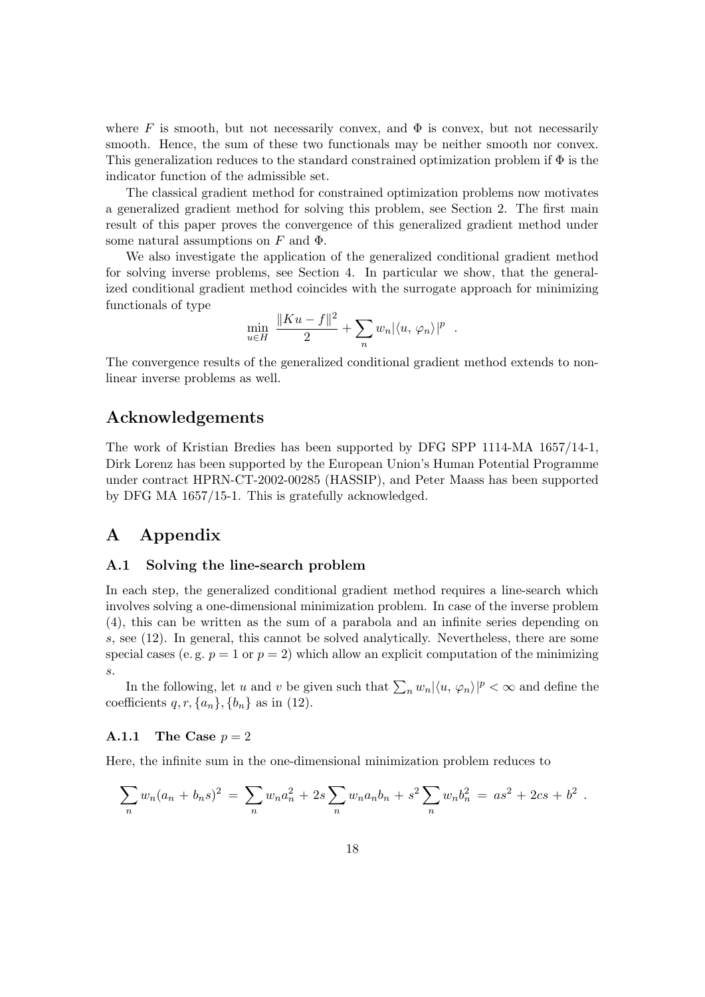where F is smooth, but not necessarily convex, and  $\Phi$  is convex, but not necessarily smooth. Hence, the sum of these two functionals may be neither smooth nor convex. This generalization reduces to the standard constrained optimization problem if  $\Phi$  is the indicator function of the admissible set.

The classical gradient method for constrained optimization problems now motivates a generalized gradient method for solving this problem, see Section 2. The first main result of this paper proves the convergence of this generalized gradient method under some natural assumptions on F and  $\Phi$ .

We also investigate the application of the generalized conditional gradient method for solving inverse problems, see Section 4. In particular we show, that the generalized conditional gradient method coincides with the surrogate approach for minimizing functionals of type

$$
\min_{u \in H} \frac{\|Ku - f\|^2}{2} + \sum_n w_n |\langle u, \varphi_n \rangle|^p
$$

.

The convergence results of the generalized conditional gradient method extends to nonlinear inverse problems as well.

### Acknowledgements

The work of Kristian Bredies has been supported by DFG SPP 1114-MA 1657/14-1, Dirk Lorenz has been supported by the European Union's Human Potential Programme under contract HPRN-CT-2002-00285 (HASSIP), and Peter Maass has been supported by DFG MA 1657/15-1. This is gratefully acknowledged.

# A Appendix

#### A.1 Solving the line-search problem

In each step, the generalized conditional gradient method requires a line-search which involves solving a one-dimensional minimization problem. In case of the inverse problem (4), this can be written as the sum of a parabola and an infinite series depending on s, see (12). In general, this cannot be solved analytically. Nevertheless, there are some special cases (e.g.  $p = 1$  or  $p = 2$ ) which allow an explicit computation of the minimizing s.

In the following, let u and v be given such that  $\sum_n w_n |\langle u, \varphi_n \rangle|^p < \infty$  and define the coefficients  $q, r, \{a_n\}, \{b_n\}$  as in (12).

#### A.1.1 The Case  $p = 2$

Here, the infinite sum in the one-dimensional minimization problem reduces to

$$
\sum_n w_n (a_n + b_n s)^2 = \sum_n w_n a_n^2 + 2s \sum_n w_n a_n b_n + s^2 \sum_n w_n b_n^2 = a s^2 + 2c s + b^2.
$$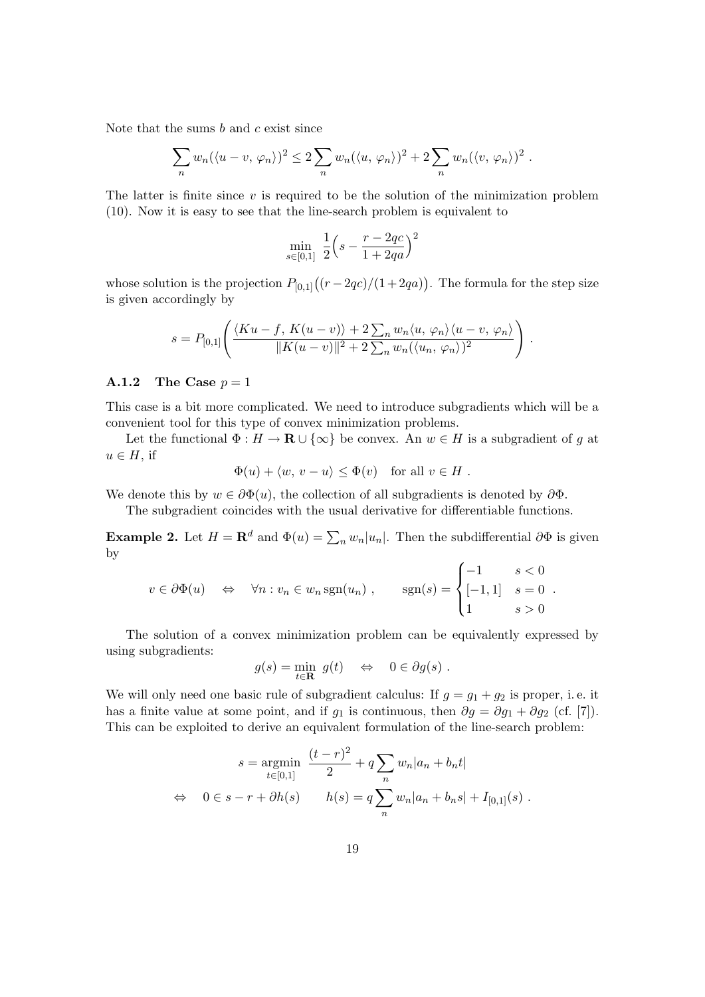Note that the sums  $b$  and  $c$  exist since

$$
\sum_n w_n (\langle u - v, \varphi_n \rangle)^2 \leq 2 \sum_n w_n (\langle u, \varphi_n \rangle)^2 + 2 \sum_n w_n (\langle v, \varphi_n \rangle)^2.
$$

The latter is finite since  $v$  is required to be the solution of the minimization problem (10). Now it is easy to see that the line-search problem is equivalent to

$$
\min_{s \in [0,1]} \frac{1}{2} \left( s - \frac{r - 2qc}{1 + 2qa} \right)^2
$$

whose solution is the projection  $P_{[0,1]}((r-2qc)/(1+2qa))$ . The formula for the step size is given accordingly by

$$
s = P_{[0,1]} \left( \frac{\langle Ku - f, K(u - v) \rangle + 2 \sum_n w_n \langle u, \varphi_n \rangle \langle u - v, \varphi_n \rangle}{\|K(u - v)\|^2 + 2 \sum_n w_n (\langle u_n, \varphi_n \rangle)^2} \right).
$$

#### **A.1.2** The Case  $p = 1$

This case is a bit more complicated. We need to introduce subgradients which will be a convenient tool for this type of convex minimization problems.

Let the functional  $\Phi : H \to \mathbf{R} \cup {\infty}$  be convex. An  $w \in H$  is a subgradient of g at  $u \in H$ , if

$$
\Phi(u) + \langle w, v - u \rangle \le \Phi(v) \quad \text{for all } v \in H.
$$

We denote this by  $w \in \partial \Phi(u)$ , the collection of all subgradients is denoted by  $\partial \Phi$ .

The subgradient coincides with the usual derivative for differentiable functions.

**Example 2.** Let  $H = \mathbb{R}^d$  and  $\Phi(u) = \sum_n w_n |u_n|$ . Then the subdifferential  $\partial \Phi$  is given by

$$
v \in \partial \Phi(u) \quad \Leftrightarrow \quad \forall n : v_n \in w_n \operatorname{sgn}(u_n) , \qquad \operatorname{sgn}(s) = \begin{cases} -1 & s < 0 \\ [-1, 1] & s = 0 \\ 1 & s > 0 \end{cases}.
$$

The solution of a convex minimization problem can be equivalently expressed by using subgradients:

$$
g(s) = \min_{t \in \mathbf{R}} g(t) \quad \Leftrightarrow \quad 0 \in \partial g(s) .
$$

We will only need one basic rule of subgradient calculus: If  $g = g_1 + g_2$  is proper, i.e. it has a finite value at some point, and if  $g_1$  is continuous, then  $\partial g = \partial g_1 + \partial g_2$  (cf. [7]). This can be exploited to derive an equivalent formulation of the line-search problem:

$$
s = \underset{t \in [0,1]}{\text{argmin}} \frac{(t-r)^2}{2} + q \sum_{n} w_n |a_n + b_n t|
$$
  
\n
$$
\Leftrightarrow \quad 0 \in s - r + \partial h(s) \qquad h(s) = q \sum_{n} w_n |a_n + b_n s| + I_{[0,1]}(s) .
$$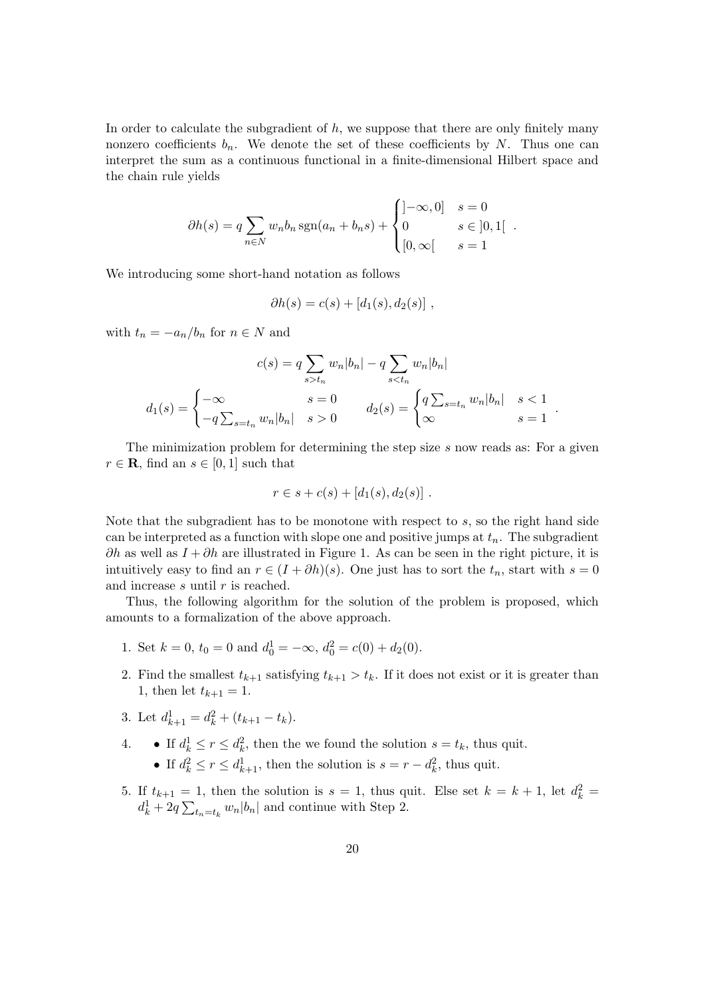In order to calculate the subgradient of  $h$ , we suppose that there are only finitely many nonzero coefficients  $b_n$ . We denote the set of these coefficients by N. Thus one can interpret the sum as a continuous functional in a finite-dimensional Hilbert space and the chain rule yields

$$
\partial h(s) = q \sum_{n \in \mathbb{N}} w_n b_n \operatorname{sgn}(a_n + b_n s) + \begin{cases} ]-\infty, 0] & s = 0 \\ 0 & s \in ]0, 1[ . \\ [0, \infty[ & s = 1 \end{cases}
$$

We introducing some short-hand notation as follows

$$
\partial h(s) = c(s) + [d_1(s), d_2(s)],
$$

with  $t_n = -a_n/b_n$  for  $n \in N$  and

$$
c(s) = q \sum_{s > t_n} w_n |b_n| - q \sum_{s < t_n} w_n |b_n|
$$
  

$$
d_1(s) = \begin{cases} -\infty & s = 0 \\ -q \sum_{s = t_n} w_n |b_n| & s > 0 \end{cases} \qquad d_2(s) = \begin{cases} q \sum_{s = t_n} w_n |b_n| & s < 1 \\ \infty & s = 1 \end{cases}.
$$

The minimization problem for determining the step size s now reads as: For a given  $r \in \mathbf{R}$ , find an  $s \in [0,1]$  such that

$$
r \in s + c(s) + [d_1(s), d_2(s)] .
$$

Note that the subgradient has to be monotone with respect to  $s$ , so the right hand side can be interpreted as a function with slope one and positive jumps at  $t_n$ . The subgradient  $\partial h$  as well as  $I + \partial h$  are illustrated in Figure 1. As can be seen in the right picture, it is intuitively easy to find an  $r \in (I + \partial h)(s)$ . One just has to sort the  $t_n$ , start with  $s = 0$ and increase  $s$  until  $r$  is reached.

Thus, the following algorithm for the solution of the problem is proposed, which amounts to a formalization of the above approach.

- 1. Set  $k = 0$ ,  $t_0 = 0$  and  $d_0^1 = -\infty$ ,  $d_0^2 = c(0) + d_2(0)$ .
- 2. Find the smallest  $t_{k+1}$  satisfying  $t_{k+1} > t_k$ . If it does not exist or it is greater than 1, then let  $t_{k+1} = 1$ .
- 3. Let  $d_{k+1}^1 = d_k^2 + (t_{k+1} t_k)$ .
- 4. If  $d_k^1 \le r \le d_k^2$ , then the we found the solution  $s = t_k$ , thus quit.
	- If  $d_k^2 \le r \le d_{k+1}^1$ , then the solution is  $s = r d_k^2$ , thus quit.
- 5. If  $t_{k+1} = 1$ , then the solution is  $s = 1$ , thus quit. Else set  $k = k + 1$ , let  $d_k^2 =$  $d_k^1 + 2q \sum_{t_n=t_k} w_n |b_n|$  and continue with Step 2.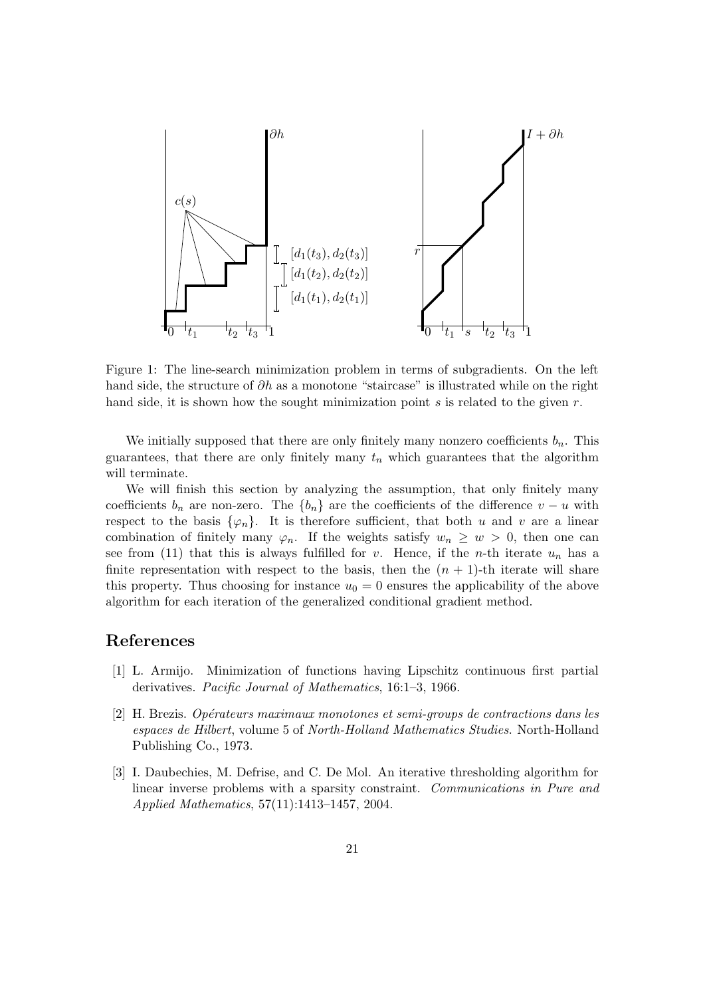

Figure 1: The line-search minimization problem in terms of subgradients. On the left hand side, the structure of  $\partial h$  as a monotone "staircase" is illustrated while on the right hand side, it is shown how the sought minimization point  $s$  is related to the given  $r$ .

We initially supposed that there are only finitely many nonzero coefficients  $b_n$ . This guarantees, that there are only finitely many  $t_n$  which guarantees that the algorithm will terminate.

We will finish this section by analyzing the assumption, that only finitely many coefficients  $b_n$  are non-zero. The  $\{b_n\}$  are the coefficients of the difference  $v - u$  with respect to the basis  $\{\varphi_n\}$ . It is therefore sufficient, that both u and v are a linear combination of finitely many  $\varphi_n$ . If the weights satisfy  $w_n \geq w > 0$ , then one can see from (11) that this is always fulfilled for v. Hence, if the n-th iterate  $u_n$  has a finite representation with respect to the basis, then the  $(n + 1)$ -th iterate will share this property. Thus choosing for instance  $u_0 = 0$  ensures the applicability of the above algorithm for each iteration of the generalized conditional gradient method.

### References

- [1] L. Armijo. Minimization of functions having Lipschitz continuous first partial derivatives. Pacific Journal of Mathematics, 16:1–3, 1966.
- $[2]$  H. Brezis. Opérateurs maximaux monotones et semi-groups de contractions dans les espaces de Hilbert, volume 5 of North-Holland Mathematics Studies. North-Holland Publishing Co., 1973.
- [3] I. Daubechies, M. Defrise, and C. De Mol. An iterative thresholding algorithm for linear inverse problems with a sparsity constraint. Communications in Pure and Applied Mathematics, 57(11):1413–1457, 2004.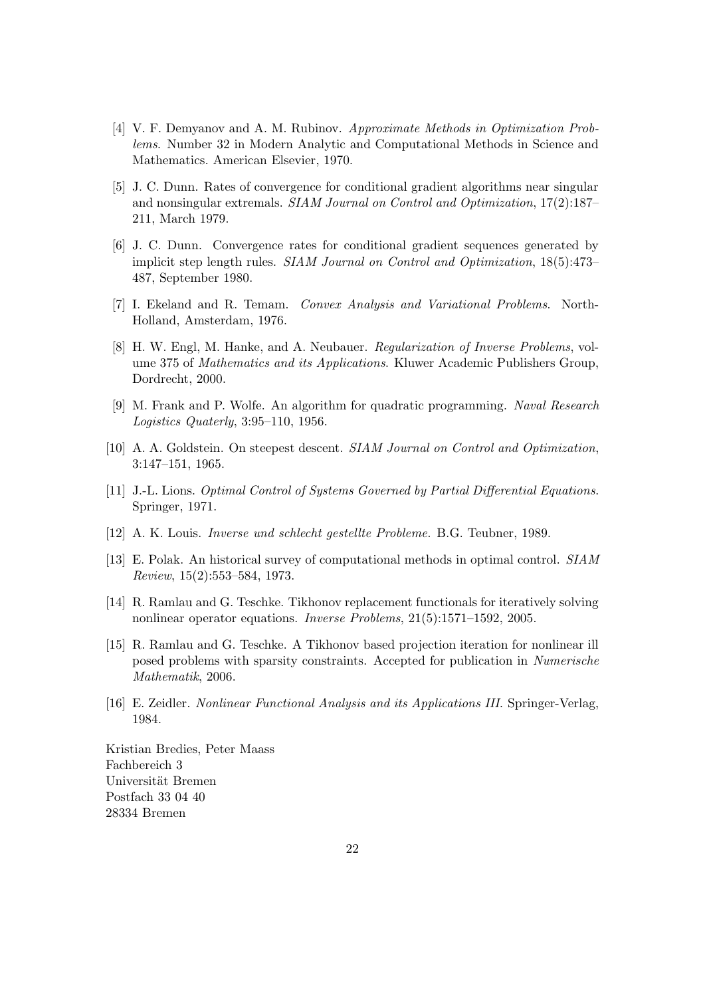- [4] V. F. Demyanov and A. M. Rubinov. Approximate Methods in Optimization Problems. Number 32 in Modern Analytic and Computational Methods in Science and Mathematics. American Elsevier, 1970.
- [5] J. C. Dunn. Rates of convergence for conditional gradient algorithms near singular and nonsingular extremals. SIAM Journal on Control and Optimization, 17(2):187– 211, March 1979.
- [6] J. C. Dunn. Convergence rates for conditional gradient sequences generated by implicit step length rules. SIAM Journal on Control and Optimization, 18(5):473– 487, September 1980.
- [7] I. Ekeland and R. Temam. Convex Analysis and Variational Problems. North-Holland, Amsterdam, 1976.
- [8] H. W. Engl, M. Hanke, and A. Neubauer. *Regularization of Inverse Problems*, volume 375 of Mathematics and its Applications. Kluwer Academic Publishers Group, Dordrecht, 2000.
- [9] M. Frank and P. Wolfe. An algorithm for quadratic programming. Naval Research Logistics Quaterly, 3:95–110, 1956.
- [10] A. A. Goldstein. On steepest descent. SIAM Journal on Control and Optimization, 3:147–151, 1965.
- [11] J.-L. Lions. Optimal Control of Systems Governed by Partial Differential Equations. Springer, 1971.
- [12] A. K. Louis. Inverse und schlecht gestellte Probleme. B.G. Teubner, 1989.
- [13] E. Polak. An historical survey of computational methods in optimal control. SIAM Review, 15(2):553–584, 1973.
- [14] R. Ramlau and G. Teschke. Tikhonov replacement functionals for iteratively solving nonlinear operator equations. Inverse Problems, 21(5):1571–1592, 2005.
- [15] R. Ramlau and G. Teschke. A Tikhonov based projection iteration for nonlinear ill posed problems with sparsity constraints. Accepted for publication in Numerische Mathematik, 2006.
- [16] E. Zeidler. Nonlinear Functional Analysis and its Applications III. Springer-Verlag, 1984.

Kristian Bredies, Peter Maass Fachbereich 3 Universität Bremen Postfach 33 04 40 28334 Bremen